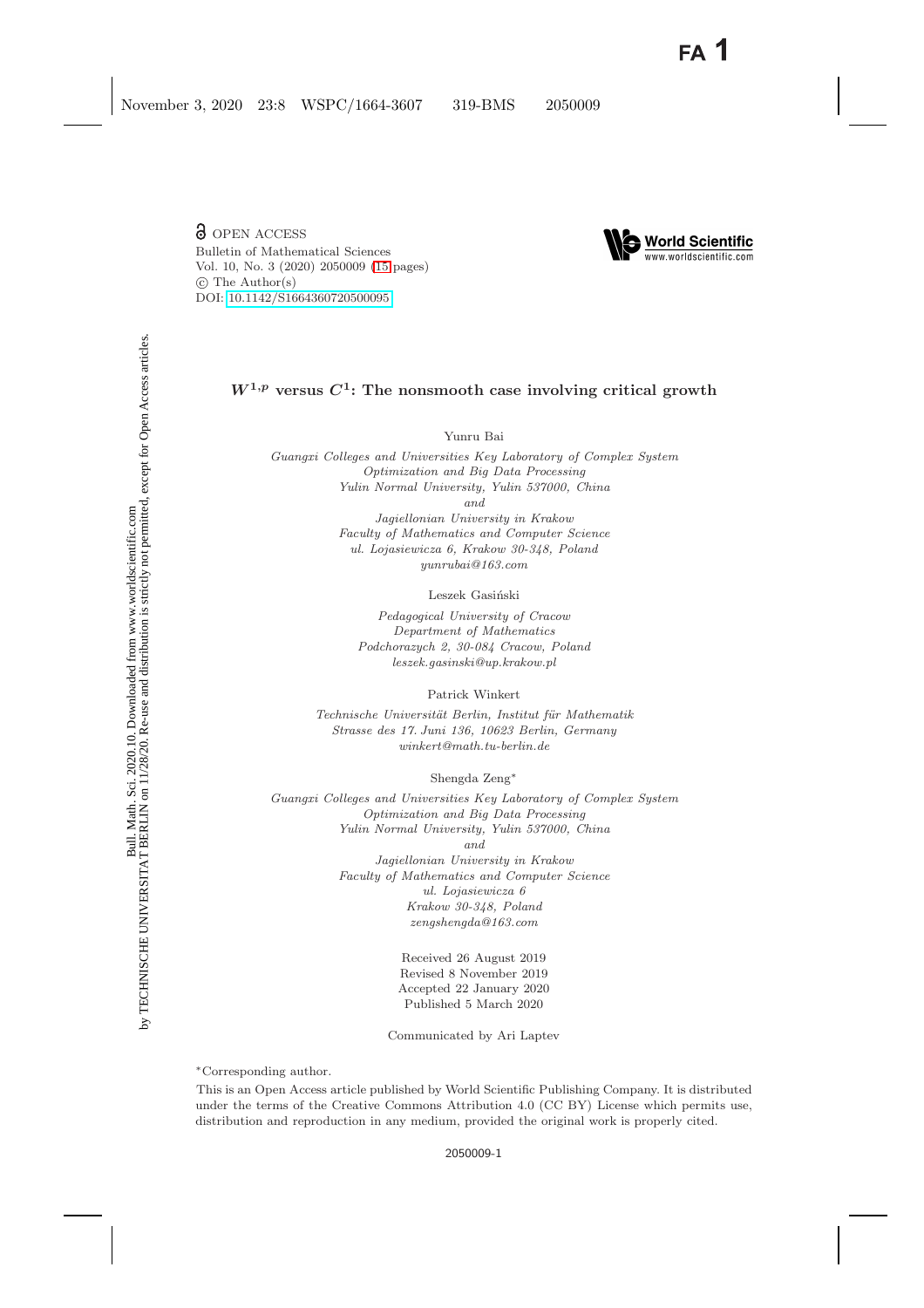**d** OPEN ACCESS Bulletin of Mathematical Sciences Vol. 10, No. 3 (2020) 2050009 [\(15](#page-13-0) pages) -c The Author(s) DOI: [10.1142/S1664360720500095](https://dx.doi.org/10.1142/S1664360720500095)



# $W^{1,p}$  versus  $C^1$ : The nonsmooth case involving critical growth

Yunru Bai

*Guangxi Colleges and Universities Key Laboratory of Complex System Optimization and Big Data Processing Yulin Normal University, Yulin 537000, China and Jagiellonian University in Krakow*

*Faculty of Mathematics and Computer Science ul. Lojasiewicza 6, Krakow 30-348, Poland yunrubai@163.com*

Leszek Gasiński

*Pedagogical University of Cracow Department of Mathematics Podchorazych 2, 30-084 Cracow, Poland leszek.gasinski@up.krakow.pl*

Patrick Winkert

*Technische Universit¨at Berlin, Institut f¨ur Mathematik Strasse des 17. Juni 136, 10623 Berlin, Germany winkert@math.tu-berlin.de*

Shengda Zeng∗

*Guangxi Colleges and Universities Key Laboratory of Complex System Optimization and Big Data Processing Yulin Normal University, Yulin 537000, China and Jagiellonian University in Krakow Faculty of Mathematics and Computer Science ul. Lojasiewicza 6*

*Krakow 30-348, Poland zengshengda@163.com*

> Received 26 August 2019 Revised 8 November 2019 Accepted 22 January 2020 Published 5 March 2020

Communicated by Ari Laptev

∗Corresponding author.

This is an Open Access article published by World Scientific Publishing Company. It is distributed under the terms of the Creative Commons Attribution 4.0 (CC BY) License which permits use, distribution and reproduction in any medium, provided the original work is properly cited.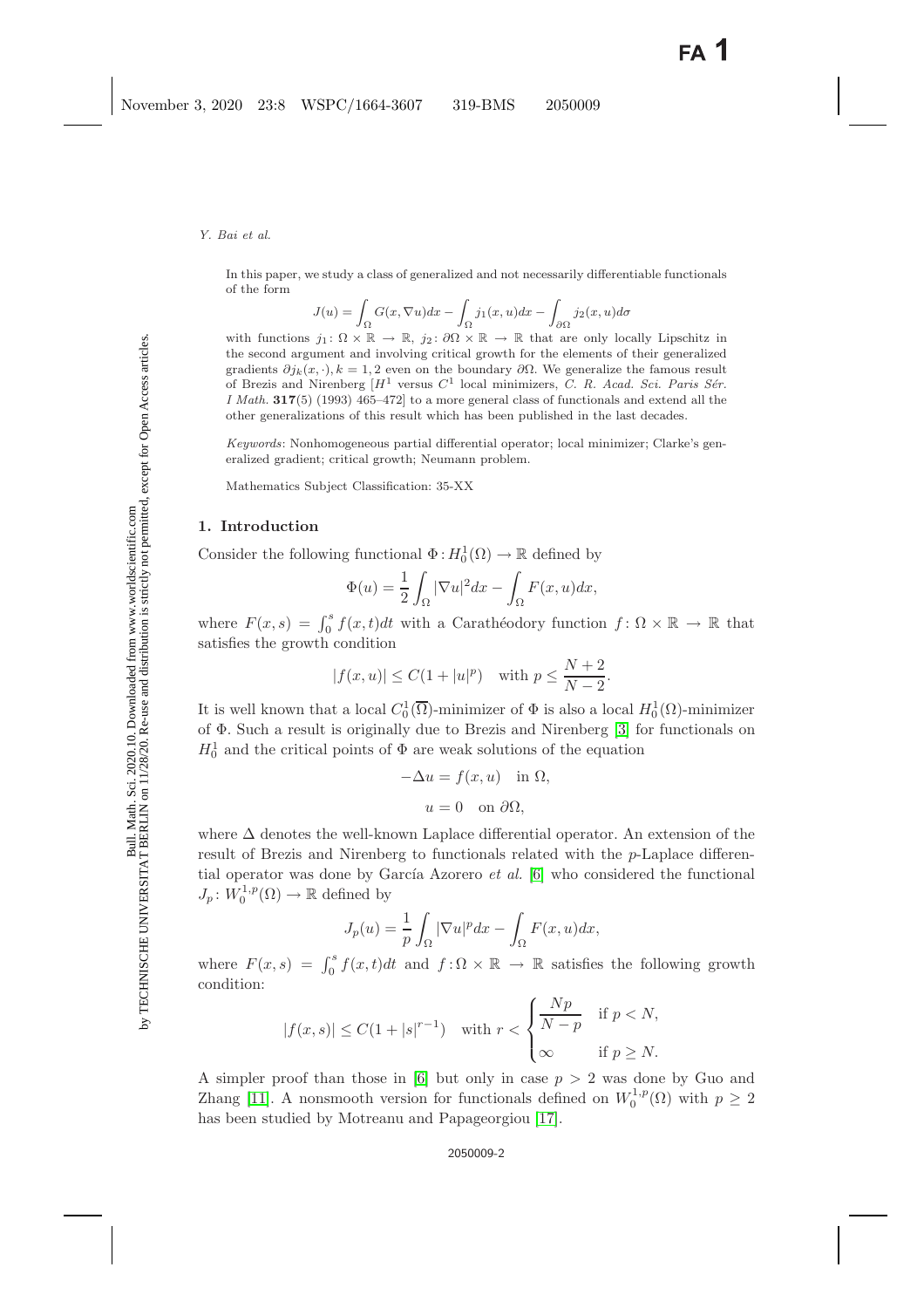In this paper, we study a class of generalized and not necessarily differentiable functionals of the form

$$
J(u) = \int_{\Omega} G(x, \nabla u) dx - \int_{\Omega} j_1(x, u) dx - \int_{\partial \Omega} j_2(x, u) d\sigma
$$

with functions  $j_1: \Omega \times \mathbb{R} \to \mathbb{R}$ ,  $j_2: \partial \Omega \times \mathbb{R} \to \mathbb{R}$  that are only locally Lipschitz in the second argument and involving critical growth for the elements of their generalized gradients  $\partial j_k(x, \cdot)$ ,  $k = 1, 2$  even on the boundary  $\partial \Omega$ . We generalize the famous result of Brezis and Nirenberg  $[H^1$  versus  $C^1$  local minimizers, *C. R. Acad. Sci. Paris Sér. I Math.* **317**(5) (1993) 465–472] to a more general class of functionals and extend all the other generalizations of this result which has been published in the last decades.

*Keywords*: Nonhomogeneous partial differential operator; local minimizer; Clarke's generalized gradient; critical growth; Neumann problem.

Mathematics Subject Classification: 35-XX

#### **1. Introduction**

Consider the following functional  $\Phi: H_0^1(\Omega) \to \mathbb{R}$  defined by

$$
\Phi(u) = \frac{1}{2} \int_{\Omega} |\nabla u|^2 dx - \int_{\Omega} F(x, u) dx,
$$

where  $F(x, s) = \int_0^s f(x, t)dt$  with a Carathéodory function  $f: \Omega \times \mathbb{R} \to \mathbb{R}$  that satisfies the growth condition

$$
|f(x, u)| \le C(1 + |u|^p)
$$
 with  $p \le \frac{N+2}{N-2}$ .

It is well known that a local  $C_0^1(\overline{\Omega})$ -minimizer of  $\Phi$  is also a local  $H_0^1(\Omega)$ -minimizer of Φ. Such a result is originally due to Brezis and Nirenberg [\[3\]](#page-13-1) for functionals on  $H_0^1$  and the critical points of  $\Phi$  are weak solutions of the equation

$$
-\Delta u = f(x, u) \text{ in } \Omega,
$$
  

$$
u = 0 \text{ on } \partial\Omega,
$$

where  $\Delta$  denotes the well-known Laplace differential operator. An extension of the result of Brezis and Nirenberg to functionals related with the p-Laplace differential operator was done by García Azorero *et al.* [\[6\]](#page-13-2) who considered the functional  $J_p: W_0^{1,p}(\Omega) \to \mathbb{R}$  defined by

$$
J_p(u) = \frac{1}{p} \int_{\Omega} |\nabla u|^p dx - \int_{\Omega} F(x, u) dx,
$$

where  $F(x, s) = \int_0^s f(x, t)dt$  and  $f: \Omega \times \mathbb{R} \to \mathbb{R}$  satisfies the following growth condition:

$$
|f(x,s)| \le C(1+|s|^{r-1}) \quad \text{with } r < \begin{cases} \frac{Np}{N-p} & \text{if } p < N, \\ \infty & \text{if } p \ge N. \end{cases}
$$

A simpler proof than those in [\[6\]](#page-13-2) but only in case  $p > 2$  was done by Guo and Zhang [\[11\]](#page-13-3). A nonsmooth version for functionals defined on  $W_0^{1,p}(\Omega)$  with  $p \geq 2$ has been studied by Motreanu and Papageorgiou [\[17\]](#page-13-4).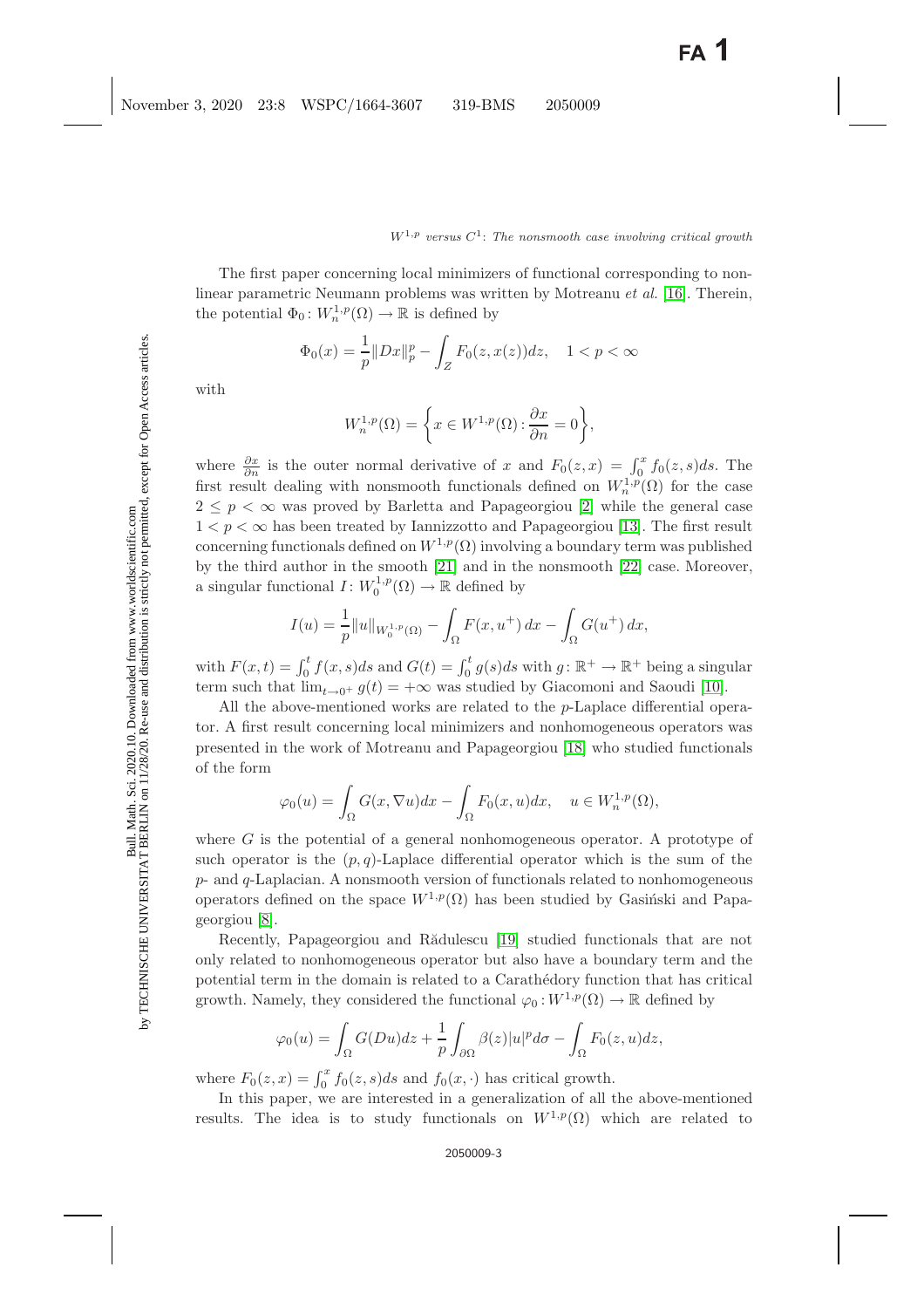The first paper concerning local minimizers of functional corresponding to nonlinear parametric Neumann problems was written by Motreanu *et al.* [\[16\]](#page-13-5). Therein, the potential  $\Phi_0: W_n^{1,p}(\Omega) \to \mathbb{R}$  is defined by

$$
\Phi_0(x) = \frac{1}{p} \|Dx\|_p^p - \int_Z F_0(z, x(z)) dz, \quad 1 < p < \infty
$$

with

$$
W_n^{1,p}(\Omega) = \left\{ x \in W^{1,p}(\Omega) : \frac{\partial x}{\partial n} = 0 \right\},\
$$

where  $\frac{\partial x}{\partial n}$  is the outer normal derivative of x and  $F_0(z, x) = \int_0^x f_0(z, s) ds$ . The first result dealing with nonsmooth functionals defined on  $W_n^{1,p}(\Omega)$  for the case  $2 \leq p \leq \infty$  was proved by Barletta and Papageorgiou [\[2\]](#page-13-6) while the general case  $1 < p < \infty$  has been treated by Iannizzotto and Papageorgiou [\[13\]](#page-13-7). The first result concerning functionals defined on  $W^{1,p}(\Omega)$  involving a boundary term was published by the third author in the smooth [\[21\]](#page-14-0) and in the nonsmooth [\[22\]](#page-14-1) case. Moreover, a singular functional  $I: W_0^{1,p}(\Omega) \to \mathbb{R}$  defined by

$$
I(u) = \frac{1}{p} ||u||_{W_0^{1,p}(\Omega)} - \int_{\Omega} F(x, u^+) dx - \int_{\Omega} G(u^+) dx,
$$

with  $F(x,t) = \int_0^t f(x,s)ds$  and  $G(t) = \int_0^t g(s)ds$  with  $g: \mathbb{R}^+ \to \mathbb{R}^+$  being a singular term such that  $\lim_{t\to 0^+} g(t)=+\infty$  was studied by Giacomoni and Saoudi [\[10\]](#page-13-8).

All the above-mentioned works are related to the p-Laplace differential operator. A first result concerning local minimizers and nonhomogeneous operators was presented in the work of Motreanu and Papageorgiou [\[18\]](#page-13-9) who studied functionals of the form

$$
\varphi_0(u) = \int_{\Omega} G(x, \nabla u) dx - \int_{\Omega} F_0(x, u) dx, \quad u \in W_n^{1, p}(\Omega),
$$

where G is the potential of a general nonhomogeneous operator. A prototype of such operator is the  $(p, q)$ -Laplace differential operator which is the sum of the  $p$ - and  $q$ -Laplacian. A nonsmooth version of functionals related to nonhomogeneous operators defined on the space  $W^{1,p}(\Omega)$  has been studied by Gasinski and Papageorgiou [\[8\]](#page-13-10).

Recently, Papageorgiou and Rădulescu [\[19\]](#page-13-11) studied functionals that are not only related to nonhomogeneous operator but also have a boundary term and the potential term in the domain is related to a Carath´edory function that has critical growth. Namely, they considered the functional  $\varphi_0: W^{1,p}(\Omega) \to \mathbb{R}$  defined by

$$
\varphi_0(u) = \int_{\Omega} G(Du)dz + \frac{1}{p} \int_{\partial \Omega} \beta(z)|u|^p d\sigma - \int_{\Omega} F_0(z, u)dz,
$$

where  $F_0(z, x) = \int_0^x f_0(z, s) ds$  and  $f_0(x, \cdot)$  has critical growth.

In this paper, we are interested in a generalization of all the above-mentioned results. The idea is to study functionals on  $W^{1,p}(\Omega)$  which are related to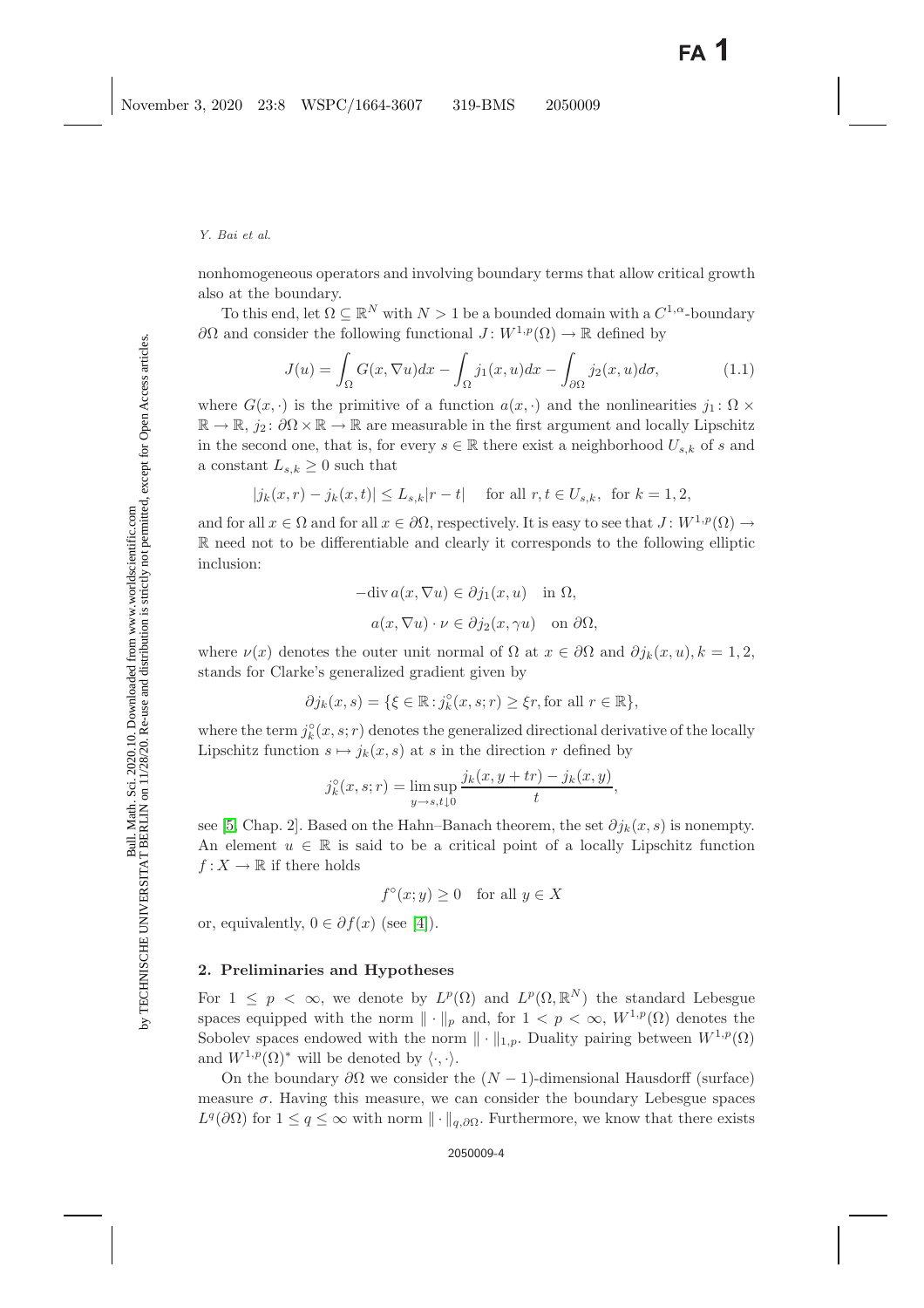*Y. Bai et al.*

nonhomogeneous operators and involving boundary terms that allow critical growth also at the boundary.

To this end, let  $\Omega \subseteq \mathbb{R}^N$  with  $N > 1$  be a bounded domain with a  $C^{1,\alpha}$ -boundary ∂Ω and consider the following functional  $J: W^{1,p}(\Omega) \to \mathbb{R}$  defined by

$$
J(u) = \int_{\Omega} G(x, \nabla u) dx - \int_{\Omega} j_1(x, u) dx - \int_{\partial \Omega} j_2(x, u) d\sigma,
$$
 (1.1)

<span id="page-3-0"></span>where  $G(x, \cdot)$  is the primitive of a function  $a(x, \cdot)$  and the nonlinearities  $j_1 : \Omega \times$  $\mathbb{R} \to \mathbb{R}$ ,  $j_2: \partial \Omega \times \mathbb{R} \to \mathbb{R}$  are measurable in the first argument and locally Lipschitz in the second one, that is, for every  $s \in \mathbb{R}$  there exist a neighborhood  $U_{s,k}$  of s and a constant  $L_{s,k} \geq 0$  such that

$$
|j_k(x,r) - j_k(x,t)| \le L_{s,k}|r - t| \quad \text{ for all } r, t \in U_{s,k}, \text{ for } k = 1,2,
$$

and for all  $x \in \Omega$  and for all  $x \in \partial\Omega$ , respectively. It is easy to see that  $J: W^{1,p}(\Omega) \to$ R need not to be differentiable and clearly it corresponds to the following elliptic inclusion:

$$
-\text{div } a(x, \nabla u) \in \partial j_1(x, u) \text{ in } \Omega,
$$
  

$$
a(x, \nabla u) \cdot \nu \in \partial j_2(x, \gamma u) \text{ on } \partial \Omega,
$$

where  $\nu(x)$  denotes the outer unit normal of  $\Omega$  at  $x \in \partial\Omega$  and  $\partial j_k(x, u), k = 1, 2$ , stands for Clarke's generalized gradient given by

$$
\partial j_k(x,s) = \{ \xi \in \mathbb{R} : j_k^{\circ}(x,s;r) \geq \xi r \text{, for all } r \in \mathbb{R} \},
$$

where the term  $j_k^{\circ}(x, s; r)$  denotes the generalized directional derivative of the locally Lipschitz function  $s \mapsto j_k(x, s)$  at s in the direction r defined by

$$
j_k^{\circ}(x, s; r) = \limsup_{y \to s, t \downarrow 0} \frac{j_k(x, y + tr) - j_k(x, y)}{t},
$$

see [\[5,](#page-13-12) Chap. 2]. Based on the Hahn–Banach theorem, the set  $\partial j_k(x, s)$  is nonempty. An element  $u \in \mathbb{R}$  is said to be a critical point of a locally Lipschitz function  $f: X \to \mathbb{R}$  if there holds

 $f^{\circ}(x; y) > 0$  for all  $y \in X$ 

or, equivalently,  $0 \in \partial f(x)$  (see [\[4\]](#page-13-13)).

# **2. Preliminaries and Hypotheses**

For  $1 \leq p \leq \infty$ , we denote by  $L^p(\Omega)$  and  $L^p(\Omega,\mathbb{R}^N)$  the standard Lebesgue spaces equipped with the norm  $\|\cdot\|_p$  and, for  $1 < p < \infty$ ,  $W^{1,p}(\Omega)$  denotes the Sobolev spaces endowed with the norm  $\|\cdot\|_{1,p}$ . Duality pairing between  $W^{1,p}(\Omega)$ and  $W^{1,p}(\Omega)^*$  will be denoted by  $\langle \cdot, \cdot \rangle$ .

On the boundary  $\partial\Omega$  we consider the  $(N-1)$ -dimensional Hausdorff (surface) measure  $\sigma$ . Having this measure, we can consider the boundary Lebesgue spaces  $L^q(\partial\Omega)$  for  $1 \leq q \leq \infty$  with norm  $\|\cdot\|_{q,\partial\Omega}$ . Furthermore, we know that there exists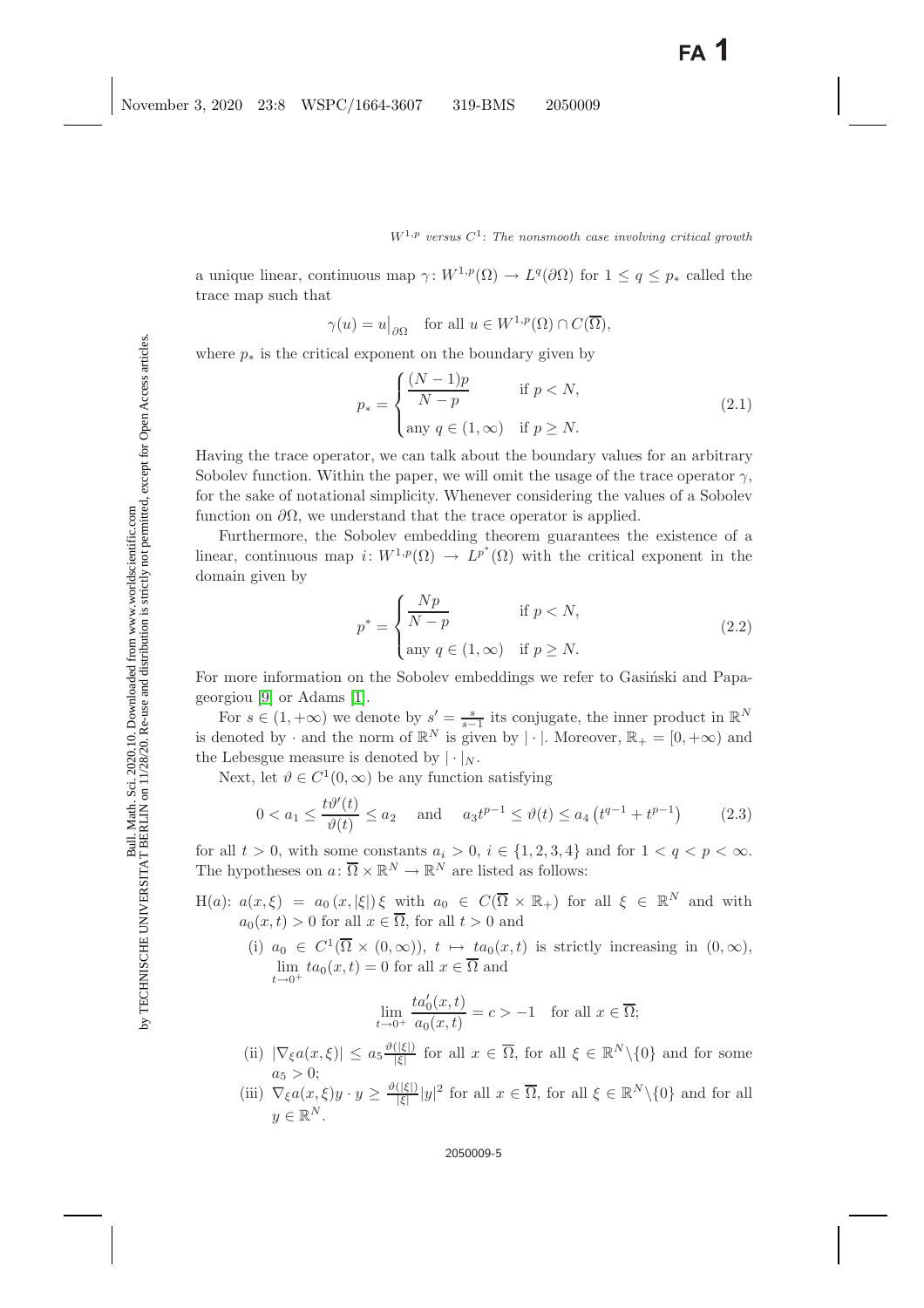a unique linear, continuous map  $\gamma: W^{1,p}(\Omega) \to L^q(\partial\Omega)$  for  $1 \leq q \leq p_*$  called the trace map such that

$$
\gamma(u) = u|_{\partial\Omega}
$$
 for all  $u \in W^{1,p}(\Omega) \cap C(\overline{\Omega}),$ 

<span id="page-4-1"></span>where  $p_*$  is the critical exponent on the boundary given by

$$
p_* = \begin{cases} \frac{(N-1)p}{N-p} & \text{if } p < N, \\ \text{any } q \in (1, \infty) & \text{if } p \ge N. \end{cases}
$$
 (2.1)

Having the trace operator, we can talk about the boundary values for an arbitrary Sobolev function. Within the paper, we will omit the usage of the trace operator  $\gamma$ , for the sake of notational simplicity. Whenever considering the values of a Sobolev function on  $\partial\Omega$ , we understand that the trace operator is applied.

Furthermore, the Sobolev embedding theorem guarantees the existence of a linear, continuous map  $i: W^{1,p}(\Omega) \to L^{p^*}(\Omega)$  with the critical exponent in the domain given by

$$
p^* = \begin{cases} \frac{Np}{N-p} & \text{if } p < N, \\ \text{any } q \in (1, \infty) & \text{if } p \ge N. \end{cases}
$$
 (2.2)

<span id="page-4-0"></span>For more information on the Sobolev embeddings we refer to Gasiński and Papageorgiou [\[9\]](#page-13-14) or Adams [\[1\]](#page-13-15).

For  $s \in (1, +\infty)$  we denote by  $s' = \frac{s}{s-1}$  its conjugate, the inner product in  $\mathbb{R}^N$ is denoted by  $\cdot$  and the norm of  $\mathbb{R}^N$  is given by  $|\cdot|$ . Moreover,  $\mathbb{R}_+ = [0, +\infty)$  and the Lebesgue measure is denoted by  $|\cdot|_N$ .

Next, let  $\vartheta \in C^1(0,\infty)$  be any function satisfying

$$
0 < a_1 \le \frac{t\vartheta'(t)}{\vartheta(t)} \le a_2 \quad \text{and} \quad a_3 t^{p-1} \le \vartheta(t) \le a_4 \left( t^{q-1} + t^{p-1} \right) \tag{2.3}
$$

<span id="page-4-2"></span>for all  $t > 0$ , with some constants  $a_i > 0$ ,  $i \in \{1, 2, 3, 4\}$  and for  $1 < q < p < \infty$ . The hypotheses on  $a: \overline{\Omega} \times \mathbb{R}^N \to \mathbb{R}^N$  are listed as follows:

- H(a):  $a(x,\xi) = a_0(x,|\xi|)\xi$  with  $a_0 \in C(\overline{\Omega} \times \mathbb{R}_+)$  for all  $\xi \in \mathbb{R}^N$  and with  $a_0(x, t) > 0$  for all  $x \in \overline{\Omega}$ , for all  $t > 0$  and
	- (i)  $a_0 \in C^1(\overline{\Omega} \times (0,\infty))$ ,  $t \mapsto ta_0(x,t)$  is strictly increasing in  $(0,\infty)$ ,  $\lim_{x \to a_0}(x,t) = 0$  for all  $x \in \Omega$  and  $t\rightarrow 0^+$

$$
\lim_{t \to 0^+} \frac{ta'_0(x,t)}{a_0(x,t)} = c > -1 \quad \text{for all } x \in \overline{\Omega};
$$

- (ii)  $|\nabla_{\xi}a(x,\xi)| \leq a_5 \frac{\vartheta(|\xi|)}{|\xi|}$  for all  $x \in \overline{\Omega}$ , for all  $\xi \in \mathbb{R}^N \setminus \{0\}$  and for some  $a_5 > 0$ ;
- (iii)  $\nabla_{\xi} a(x,\xi) y \cdot y \geq \frac{\vartheta(|\xi|)}{|\xi|} |y|^2$  for all  $x \in \overline{\Omega}$ , for all  $\xi \in \mathbb{R}^N \setminus \{0\}$  and for all  $y \in \mathbb{R}^N$ .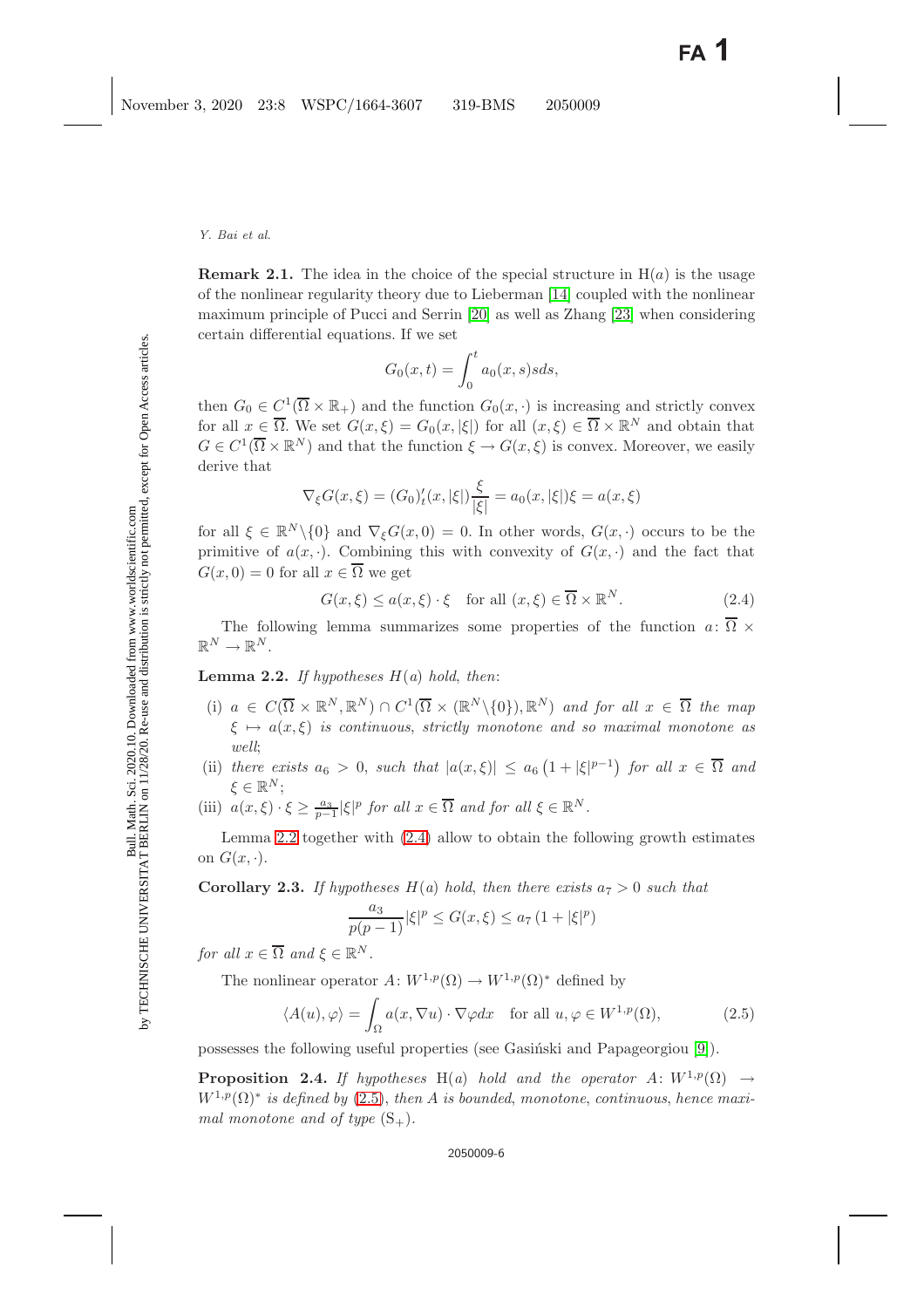*Y. Bai et al.*

$$
G_0(x,t) = \int_0^t a_0(x,s)s ds,
$$

then  $G_0 \in C^1(\overline{\Omega} \times \mathbb{R}_+)$  and the function  $G_0(x, \cdot)$  is increasing and strictly convex for all  $x \in \overline{\Omega}$ . We set  $G(x,\xi) = G_0(x,|\xi|)$  for all  $(x,\xi) \in \overline{\Omega} \times \mathbb{R}^N$  and obtain that  $G \in C^1(\overline{\Omega} \times \mathbb{R}^N)$  and that the function  $\xi \to G(x,\xi)$  is convex. Moreover, we easily derive that

$$
\nabla_{\xi} G(x,\xi) = (G_0)'_t(x,|\xi|) \frac{\xi}{|\xi|} = a_0(x,|\xi|) \xi = a(x,\xi)
$$

for all  $\xi \in \mathbb{R}^N \setminus \{0\}$  and  $\nabla_{\xi} G(x, 0) = 0$ . In other words,  $G(x, \cdot)$  occurs to be the primitive of  $a(x, \cdot)$ . Combining this with convexity of  $G(x, \cdot)$  and the fact that  $G(x, 0) = 0$  for all  $x \in \Omega$  we get

$$
G(x,\xi) \le a(x,\xi) \cdot \xi \quad \text{for all } (x,\xi) \in \overline{\Omega} \times \mathbb{R}^N. \tag{2.4}
$$

<span id="page-5-1"></span><span id="page-5-0"></span>The following lemma summarizes some properties of the function  $a: \overline{\Omega} \times$  $\mathbb{R}^N \to \mathbb{R}^N$ .

**Lemma 2.2.** *If hypotheses*  $H(a)$  *hold, then:* 

- (i)  $a \in C(\overline{\Omega} \times \mathbb{R}^N, \mathbb{R}^N) \cap C^1(\overline{\Omega} \times (\mathbb{R}^N \setminus \{0\}), \mathbb{R}^N)$  and for all  $x \in \overline{\Omega}$  the map  $\xi \mapsto a(x,\xi)$  *is continuous, strictly monotone and so maximal monotone as well*;
- (ii) *there exists*  $a_6 > 0$ , *such that*  $|a(x,\xi)| \le a_6 \left(1 + |\xi|^{p-1}\right)$  *for all*  $x \in \overline{\Omega}$  *and*  $\xi \in \mathbb{R}^N$ ;
- (iii)  $a(x,\xi) \cdot \xi \ge \frac{a_3}{p-1} |\xi|^p$  *for all*  $x \in \overline{\Omega}$  *and for all*  $\xi \in \mathbb{R}^N$ *.*

Lemma [2.2](#page-5-0) together with [\(2.4\)](#page-5-1) allow to obtain the following growth estimates on  $G(x, \cdot)$ .

**Corollary 2.3.** If hypotheses  $H(a)$  hold, then there exists  $a_7 > 0$  such that

$$
\frac{a_3}{p(p-1)}|\xi|^p \le G(x,\xi) \le a_7 (1+|\xi|^p)
$$

*for all*  $x \in \overline{\Omega}$  *and*  $\xi \in \mathbb{R}^N$ *.* 

The nonlinear operator  $A: W^{1,p}(\Omega) \to W^{1,p}(\Omega)^*$  defined by

$$
\langle A(u), \varphi \rangle = \int_{\Omega} a(x, \nabla u) \cdot \nabla \varphi dx \quad \text{for all } u, \varphi \in W^{1, p}(\Omega), \tag{2.5}
$$

<span id="page-5-2"></span>possesses the following useful properties (see Gasinski and Papageorgiou [\[9\]](#page-13-14)).

**Proposition 2.4.** *If hypotheses* H(*a*) *hold and the operator* A:  $W^{1,p}(\Omega) \rightarrow$  $W^{1,p}(\Omega)$ <sup>\*</sup> *is defined by* [\(2.5\)](#page-5-2), *then* A *is bounded*, *monotone*, *continuous*, *hence maximal monotone and of type*  $(S_+)$ *.*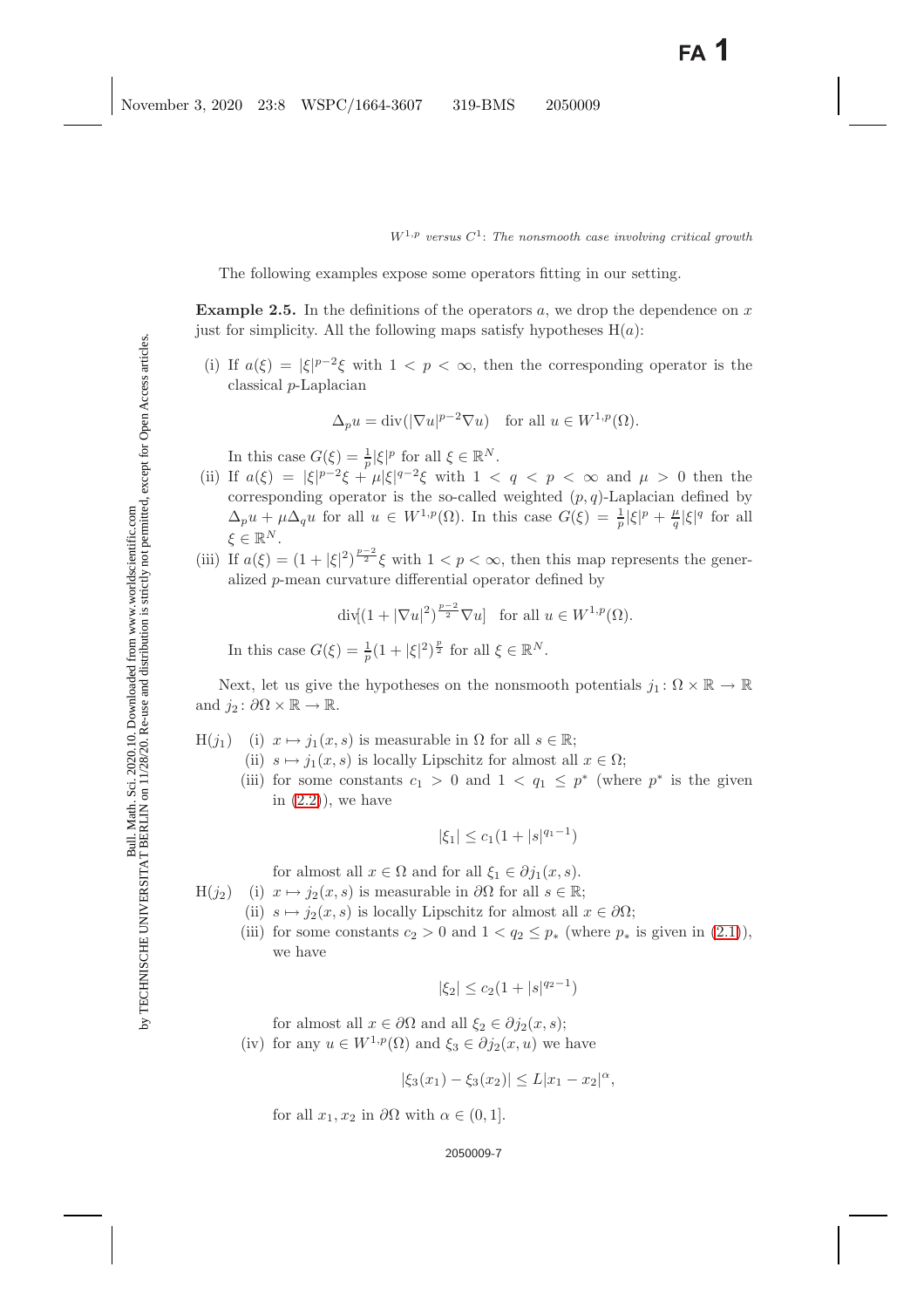The following examples expose some operators fitting in our setting.

**Example 2.5.** In the definitions of the operators a, we drop the dependence on x just for simplicity. All the following maps satisfy hypotheses  $H(a)$ :

(i) If  $a(\xi) = |\xi|^{p-2}\xi$  with  $1 < p < \infty$ , then the corresponding operator is the classical p-Laplacian

$$
\Delta_p u = \text{div}(|\nabla u|^{p-2} \nabla u) \quad \text{for all } u \in W^{1,p}(\Omega).
$$

In this case  $G(\xi) = \frac{1}{p} |\xi|^p$  for all  $\xi \in \mathbb{R}^N$ .

- (ii) If  $a(\xi) = |\xi|^{p-2}\xi + \mu |\xi|^{q-2}\xi$  with  $1 < q < p < \infty$  and  $\mu > 0$  then the corresponding operator is the so-called weighted  $(p, q)$ -Laplacian defined by  $\Delta_p u + \mu \Delta_q u$  for all  $u \in W^{1,p}(\Omega)$ . In this case  $G(\xi) = \frac{1}{p} |\xi|^p + \frac{\mu}{q} |\xi|^q$  for all  $\xi \in \mathbb{R}^N$ .
- (iii) If  $a(\xi) = (1 + |\xi|^2)^{\frac{p-2}{2}} \xi$  with  $1 < p < \infty$ , then this map represents the generalized p-mean curvature differential operator defined by

 $\operatorname{div}[(1+|\nabla u|^2)^{\frac{p-2}{2}}\nabla u]$  for all  $u \in W^{1,p}(\Omega)$ .

In this case  $G(\xi) = \frac{1}{p}(1 + |\xi|^2)^{\frac{p}{2}}$  for all  $\xi \in \mathbb{R}^N$ .

Next, let us give the hypotheses on the nonsmooth potentials  $j_1: \Omega \times \mathbb{R} \to \mathbb{R}$ and  $j_2$ :  $\partial\Omega \times \mathbb{R} \to \mathbb{R}$ .

- $H(j_1)$  (i)  $x \mapsto j_1(x, s)$  is measurable in  $\Omega$  for all  $s \in \mathbb{R}$ ;
	- (ii)  $s \mapsto j_1(x, s)$  is locally Lipschitz for almost all  $x \in \Omega$ ;
	- (iii) for some constants  $c_1 > 0$  and  $1 < q_1 < p^*$  (where  $p^*$  is the given in  $(2.2)$ , we have

$$
|\xi_1| \le c_1(1+|s|^{q_1-1})
$$

for almost all  $x \in \Omega$  and for all  $\xi_1 \in \partial j_1(x, s)$ .

- $H(j_2)$ (i)  $x \mapsto j_2(x, s)$  is measurable in  $\partial\Omega$  for all  $s \in \mathbb{R}$ ;
	- (ii)  $s \mapsto j_2(x, s)$  is locally Lipschitz for almost all  $x \in \partial \Omega$ ;
		- (iii) for some constants  $c_2 > 0$  and  $1 < q_2 \leq p_*$  (where  $p_*$  is given in [\(2.1\)](#page-4-1)), we have

$$
|\xi_2| \le c_2(1+|s|^{q_2-1})
$$

for almost all  $x \in \partial\Omega$  and all  $\xi_2 \in \partial j_2(x, s)$ ;

(iv) for any  $u \in W^{1,p}(\Omega)$  and  $\xi_3 \in \partial j_2(x, u)$  we have

$$
|\xi_3(x_1) - \xi_3(x_2)| \le L|x_1 - x_2|^{\alpha},
$$

for all  $x_1, x_2$  in  $\partial\Omega$  with  $\alpha \in (0, 1]$ .

#### 2050009-7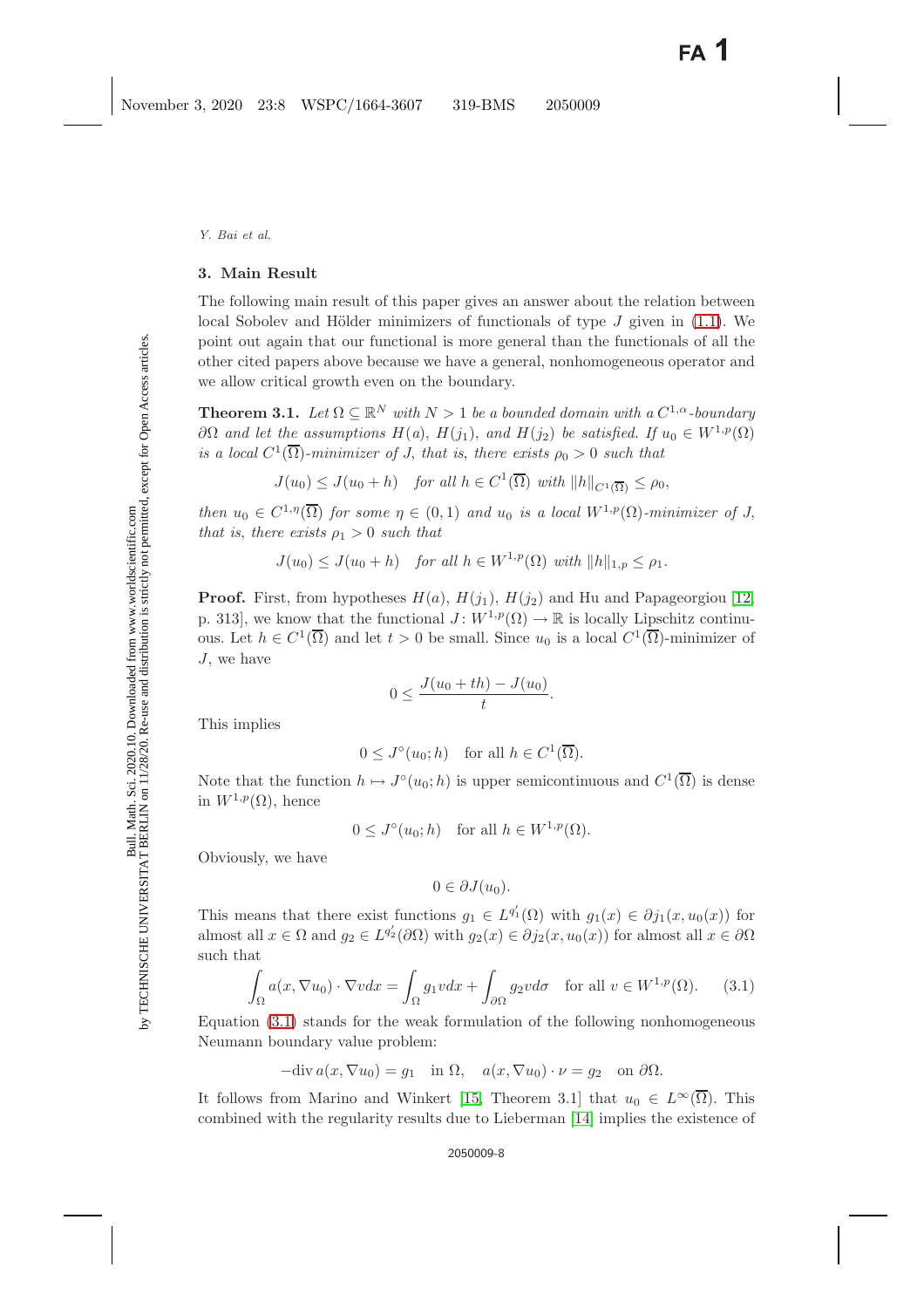## **3. Main Result**

The following main result of this paper gives an answer about the relation between local Sobolev and Hölder minimizers of functionals of type  $J$  given in [\(1.1\)](#page-3-0). We point out again that our functional is more general than the functionals of all the other cited papers above because we have a general, nonhomogeneous operator and we allow critical growth even on the boundary.

<span id="page-7-1"></span>**Theorem 3.1.** *Let*  $\Omega \subseteq \mathbb{R}^N$  *with*  $N > 1$  *be a bounded domain with a*  $C^{1,\alpha}$ *-boundary* ∂Ω *and let the assumptions*  $H(a)$ ,  $H(j_1)$ , *and*  $H(j_2)$  *be satisfied.* If  $u_0 ∈ W^{1,p}(\Omega)$ *is a local*  $C^1(\overline{\Omega})$ *-minimizer of J, that is, there exists*  $\rho_0 > 0$  *such that* 

 $J(u_0) \leq J(u_0 + h)$  *for all*  $h \in C^1(\overline{\Omega})$  *with*  $||h||_{C^1(\overline{\Omega})} \leq \rho_0$ ,

*then*  $u_0 \in C^{1,\eta}(\overline{\Omega})$  *for some*  $\eta \in (0,1)$  *and*  $u_0$  *is a local*  $W^{1,p}(\Omega)$ *-minimizer of* J, *that is, there exists*  $\rho_1 > 0$  *such that* 

$$
J(u_0) \leq J(u_0 + h) \quad \text{for all } h \in W^{1,p}(\Omega) \text{ with } ||h||_{1,p} \leq \rho_1.
$$

**Proof.** First, from hypotheses  $H(a)$ ,  $H(j_1)$ ,  $H(j_2)$  and Hu and Papageorgiou [\[12,](#page-13-18) p. 313], we know that the functional  $J: W^{1,p}(\Omega) \to \mathbb{R}$  is locally Lipschitz continuous. Let  $h \in C^1(\overline{\Omega})$  and let  $t > 0$  be small. Since  $u_0$  is a local  $C^1(\overline{\Omega})$ -minimizer of J, we have

$$
0 \le \frac{J(u_0 + th) - J(u_0)}{t}.
$$

This implies

 $0 \leq J^{\circ}(u_0; h)$  for all  $h \in C^1(\overline{\Omega}).$ 

Note that the function  $h \mapsto J^{\circ}(u_0; h)$  is upper semicontinuous and  $C^1(\overline{\Omega})$  is dense in  $W^{1,p}(\Omega)$ , hence

 $0 \leq J^{\circ}(u_0; h)$  for all  $h \in W^{1,p}(\Omega)$ .

Obviously, we have

$$
0\in \partial J(u_0).
$$

This means that there exist functions  $g_1 \in L^{q'_1}(\Omega)$  with  $g_1(x) \in \partial j_1(x, u_0(x))$  for almost all  $x \in \Omega$  and  $g_2 \in L^{q'_2}(\partial \Omega)$  with  $g_2(x) \in \partial j_2(x, u_0(x))$  for almost all  $x \in \partial \Omega$ such that

$$
\int_{\Omega} a(x, \nabla u_0) \cdot \nabla v dx = \int_{\Omega} g_1 v dx + \int_{\partial \Omega} g_2 v d\sigma \quad \text{for all } v \in W^{1, p}(\Omega). \tag{3.1}
$$

<span id="page-7-0"></span>Equation [\(3.1\)](#page-7-0) stands for the weak formulation of the following nonhomogeneous Neumann boundary value problem:

 $-div a(x, \nabla u_0) = g_1$  in  $\Omega$ ,  $a(x, \nabla u_0) \cdot \nu = g_2$  on  $\partial \Omega$ .

It follows from Marino and Winkert [\[15,](#page-13-19) Theorem 3.1] that  $u_0 \in L^{\infty}(\overline{\Omega})$ . This combined with the regularity results due to Lieberman [\[14\]](#page-13-16) implies the existence of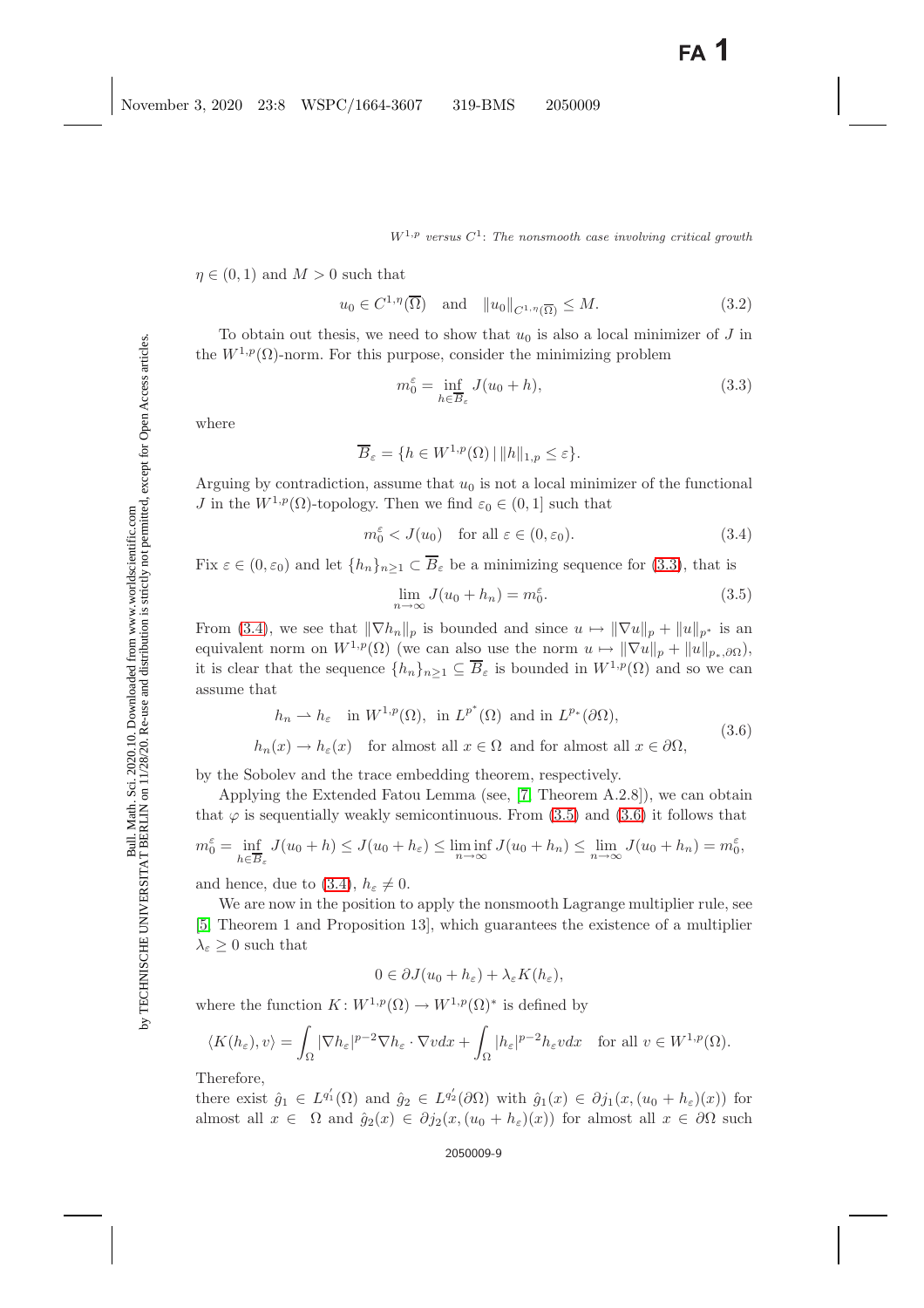<span id="page-8-4"></span> $\eta \in (0,1)$  and  $M > 0$  such that

<span id="page-8-0"></span> $u_0 \in C^{1,\eta}(\overline{\Omega})$  and  $||u_0||_{C^{1,\eta}(\overline{\Omega})} \leq M.$  (3.2)

To obtain out thesis, we need to show that  $u_0$  is also a local minimizer of J in the  $W^{1,p}(\Omega)$ -norm. For this purpose, consider the minimizing problem

$$
m_0^{\varepsilon} = \inf_{h \in \overline{B}_{\varepsilon}} J(u_0 + h), \tag{3.3}
$$

where

$$
\overline{B}_{\varepsilon} = \{ h \in W^{1,p}(\Omega) \, | \, ||h||_{1,p} \le \varepsilon \}.
$$

Arguing by contradiction, assume that  $u_0$  is not a local minimizer of the functional J in the  $W^{1,p}(\Omega)$ -topology. Then we find  $\varepsilon_0 \in (0,1]$  such that

$$
m_0^{\varepsilon} < J(u_0) \quad \text{for all } \varepsilon \in (0, \varepsilon_0). \tag{3.4}
$$

<span id="page-8-2"></span><span id="page-8-1"></span>Fix  $\varepsilon \in (0, \varepsilon_0)$  and let  $\{h_n\}_{n\geq 1} \subset \overline{B}_{\varepsilon}$  be a minimizing sequence for [\(3.3\)](#page-8-0), that is

$$
\lim_{n \to \infty} J(u_0 + h_n) = m_0^{\varepsilon}.
$$
\n(3.5)

From [\(3.4\)](#page-8-1), we see that  $\|\nabla h_n\|_p$  is bounded and since  $u \mapsto \|\nabla u\|_p + \|u\|_{p^*}$  is an equivalent norm on  $W^{1,p}(\Omega)$  (we can also use the norm  $u \mapsto ||\nabla u||_p + ||u||_{p_*,\partial\Omega}$ ), it is clear that the sequence  $\{h_n\}_{n\geq 1} \subseteq \overline{B}_{\varepsilon}$  is bounded in  $W^{1,p}(\Omega)$  and so we can assume that

$$
h_n \rightharpoonup h_{\varepsilon} \quad \text{in } W^{1,p}(\Omega), \text{ in } L^{p^*}(\Omega) \text{ and in } L^{p_*}(\partial \Omega),
$$
  

$$
h_n(x) \to h_{\varepsilon}(x) \quad \text{for almost all } x \in \Omega \text{ and for almost all } x \in \partial \Omega,
$$
 (3.6)

<span id="page-8-3"></span>by the Sobolev and the trace embedding theorem, respectively.

Applying the Extended Fatou Lemma (see, [\[7,](#page-13-20) Theorem A.2.8]), we can obtain that  $\varphi$  is sequentially weakly semicontinuous. From [\(3.5\)](#page-8-2) and [\(3.6\)](#page-8-3) it follows that

$$
m_0^{\varepsilon} = \inf_{h \in \overline{B}_{\varepsilon}} J(u_0 + h) \le J(u_0 + h_{\varepsilon}) \le \liminf_{n \to \infty} J(u_0 + h_n) \le \lim_{n \to \infty} J(u_0 + h_n) = m_0^{\varepsilon},
$$

and hence, due to [\(3.4\)](#page-8-1),  $h_{\varepsilon} \neq 0$ .

We are now in the position to apply the nonsmooth Lagrange multiplier rule, see [\[5,](#page-13-12) Theorem 1 and Proposition 13], which guarantees the existence of a multiplier  $\lambda_{\varepsilon} \geq 0$  such that

$$
0 \in \partial J(u_0 + h_{\varepsilon}) + \lambda_{\varepsilon} K(h_{\varepsilon}),
$$

where the function  $K: W^{1,p}(\Omega) \to W^{1,p}(\Omega)^*$  is defined by

$$
\langle K(h_{\varepsilon}), v \rangle = \int_{\Omega} |\nabla h_{\varepsilon}|^{p-2} \nabla h_{\varepsilon} \cdot \nabla v dx + \int_{\Omega} |h_{\varepsilon}|^{p-2} h_{\varepsilon} v dx \quad \text{for all } v \in W^{1,p}(\Omega).
$$

Therefore,

there exist  $\hat{g}_1 \in L^{q'_1}(\Omega)$  and  $\hat{g}_2 \in L^{q'_2}(\partial \Omega)$  with  $\hat{g}_1(x) \in \partial j_1(x,(u_0 + h_{\varepsilon})(x))$  for almost all  $x \in \Omega$  and  $\hat{g}_2(x) \in \partial j_2(x,(u_0 + h_{\varepsilon})(x))$  for almost all  $x \in \partial \Omega$  such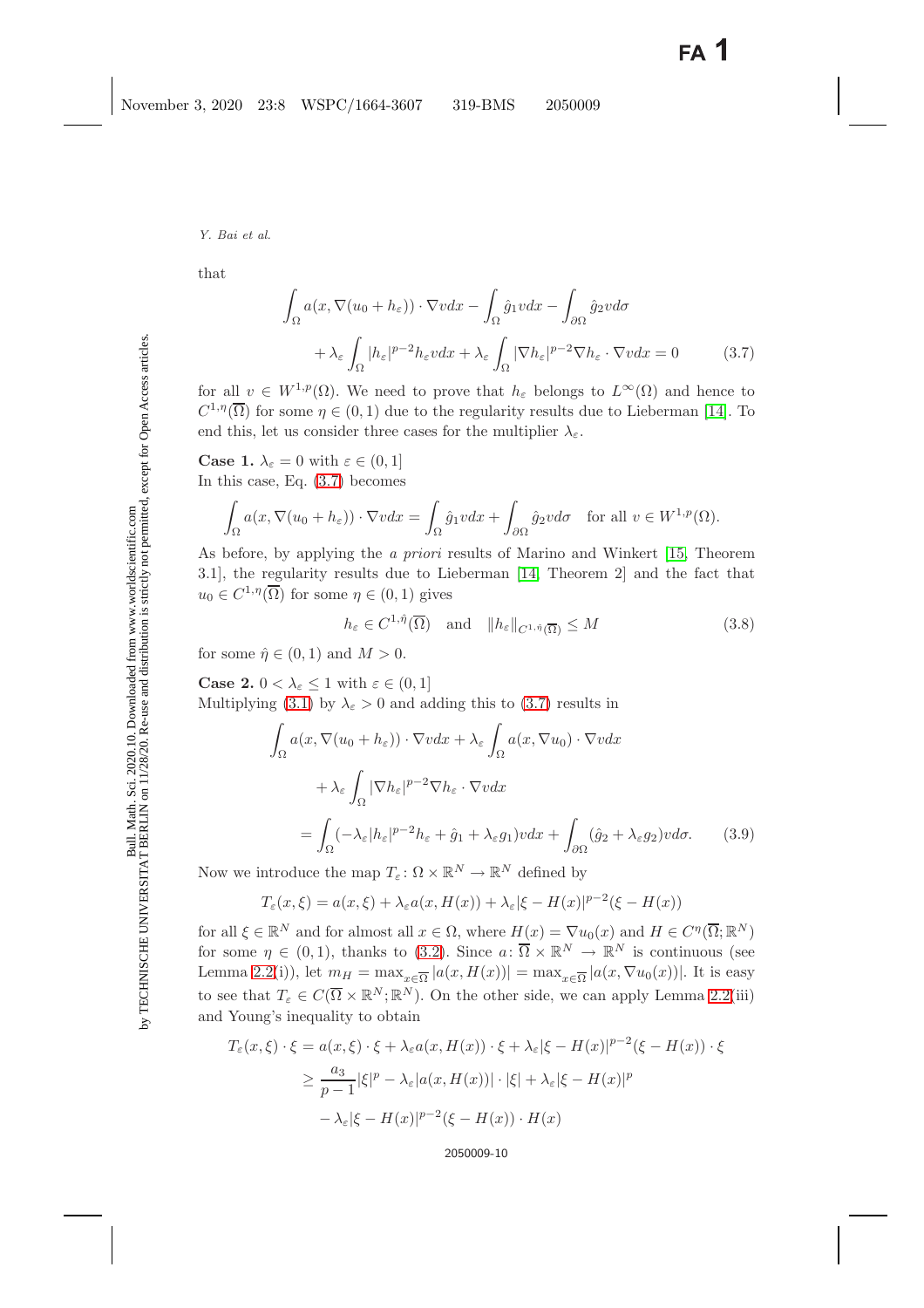<span id="page-9-0"></span>that

$$
\int_{\Omega} a(x, \nabla(u_0 + h_{\varepsilon})) \cdot \nabla v dx - \int_{\Omega} \hat{g}_1 v dx - \int_{\partial \Omega} \hat{g}_2 v d\sigma \n+ \lambda_{\varepsilon} \int_{\Omega} |h_{\varepsilon}|^{p-2} h_{\varepsilon} v dx + \lambda_{\varepsilon} \int_{\Omega} |\nabla h_{\varepsilon}|^{p-2} \nabla h_{\varepsilon} \cdot \nabla v dx = 0
$$
\n(3.7)

for all  $v \in W^{1,p}(\Omega)$ . We need to prove that  $h_{\varepsilon}$  belongs to  $L^{\infty}(\Omega)$  and hence to  $C^{1,\eta}(\overline{\Omega})$  for some  $\eta \in (0,1)$  due to the regularity results due to Lieberman [\[14\]](#page-13-16). To end this, let us consider three cases for the multiplier  $\lambda_{\varepsilon}$ .

**Case 1.**  $\lambda_{\varepsilon} = 0$  with  $\varepsilon \in (0, 1]$ In this case, Eq. [\(3.7\)](#page-9-0) becomes

$$
\int_{\Omega} a(x, \nabla(u_0 + h_{\varepsilon})) \cdot \nabla v dx = \int_{\Omega} \hat{g}_1 v dx + \int_{\partial \Omega} \hat{g}_2 v d\sigma \quad \text{for all } v \in W^{1, p}(\Omega).
$$

As before, by applying the *a priori* results of Marino and Winkert [\[15,](#page-13-19) Theorem 3.1], the regularity results due to Lieberman [\[14,](#page-13-16) Theorem 2] and the fact that  $u_0 \in C^{1,\eta}(\overline{\Omega})$  for some  $\eta \in (0,1)$  gives

$$
h_{\varepsilon} \in C^{1,\hat{\eta}}(\overline{\Omega}) \quad \text{and} \quad \|h_{\varepsilon}\|_{C^{1,\hat{\eta}}(\overline{\Omega})} \le M \tag{3.8}
$$

<span id="page-9-2"></span>for some  $\hat{\eta} \in (0,1)$  and  $M > 0$ .

<span id="page-9-1"></span>**Case 2.**  $0 < \lambda_{\varepsilon} \leq 1$  with  $\varepsilon \in (0, 1]$ Multiplying [\(3.1\)](#page-7-0) by  $\lambda_{\epsilon} > 0$  and adding this to [\(3.7\)](#page-9-0) results in

$$
\int_{\Omega} a(x, \nabla(u_0 + h_{\varepsilon})) \cdot \nabla v dx + \lambda_{\varepsilon} \int_{\Omega} a(x, \nabla u_0) \cdot \nabla v dx \n+ \lambda_{\varepsilon} \int_{\Omega} |\nabla h_{\varepsilon}|^{p-2} \nabla h_{\varepsilon} \cdot \nabla v dx \n= \int_{\Omega} (-\lambda_{\varepsilon}|h_{\varepsilon}|^{p-2} h_{\varepsilon} + \hat{g}_1 + \lambda_{\varepsilon} g_1) v dx + \int_{\partial\Omega} (\hat{g}_2 + \lambda_{\varepsilon} g_2) v d\sigma.
$$
\n(3.9)

Now we introduce the map  $T_{\varepsilon} : \Omega \times \mathbb{R}^N \to \mathbb{R}^N$  defined by

$$
T_{\varepsilon}(x,\xi) = a(x,\xi) + \lambda_{\varepsilon} a(x,H(x)) + \lambda_{\varepsilon} |\xi - H(x)|^{p-2} (\xi - H(x))
$$

for all  $\xi \in \mathbb{R}^N$  and for almost all  $x \in \Omega$ , where  $H(x) = \nabla u_0(x)$  and  $H \in C^{\eta}(\overline{\Omega}; \mathbb{R}^N)$ for some  $\eta \in (0,1)$ , thanks to [\(3.2\)](#page-8-4). Since  $a: \overline{\Omega} \times \mathbb{R}^N \to \mathbb{R}^N$  is continuous (see Lemma [2.2\(](#page-5-0)i)), let  $m_H = \max_{x \in \overline{\Omega}} |a(x, H(x))| = \max_{x \in \overline{\Omega}} |a(x, \nabla u_0(x))|$ . It is easy to see that  $T_{\varepsilon} \in C(\overline{\Omega} \times \mathbb{R}^{N}; \mathbb{R}^{N})$ . On the other side, we can apply Lemma [2.2\(](#page-5-0)iii) and Young's inequality to obtain

$$
T_{\varepsilon}(x,\xi) \cdot \xi = a(x,\xi) \cdot \xi + \lambda_{\varepsilon} a(x, H(x)) \cdot \xi + \lambda_{\varepsilon} |\xi - H(x)|^{p-2} (\xi - H(x)) \cdot \xi
$$
  

$$
\geq \frac{a_3}{p-1} |\xi|^p - \lambda_{\varepsilon} |a(x, H(x))| \cdot |\xi| + \lambda_{\varepsilon} |\xi - H(x)|^p
$$
  

$$
-\lambda_{\varepsilon} |\xi - H(x)|^{p-2} (\xi - H(x)) \cdot H(x)
$$

2050009-10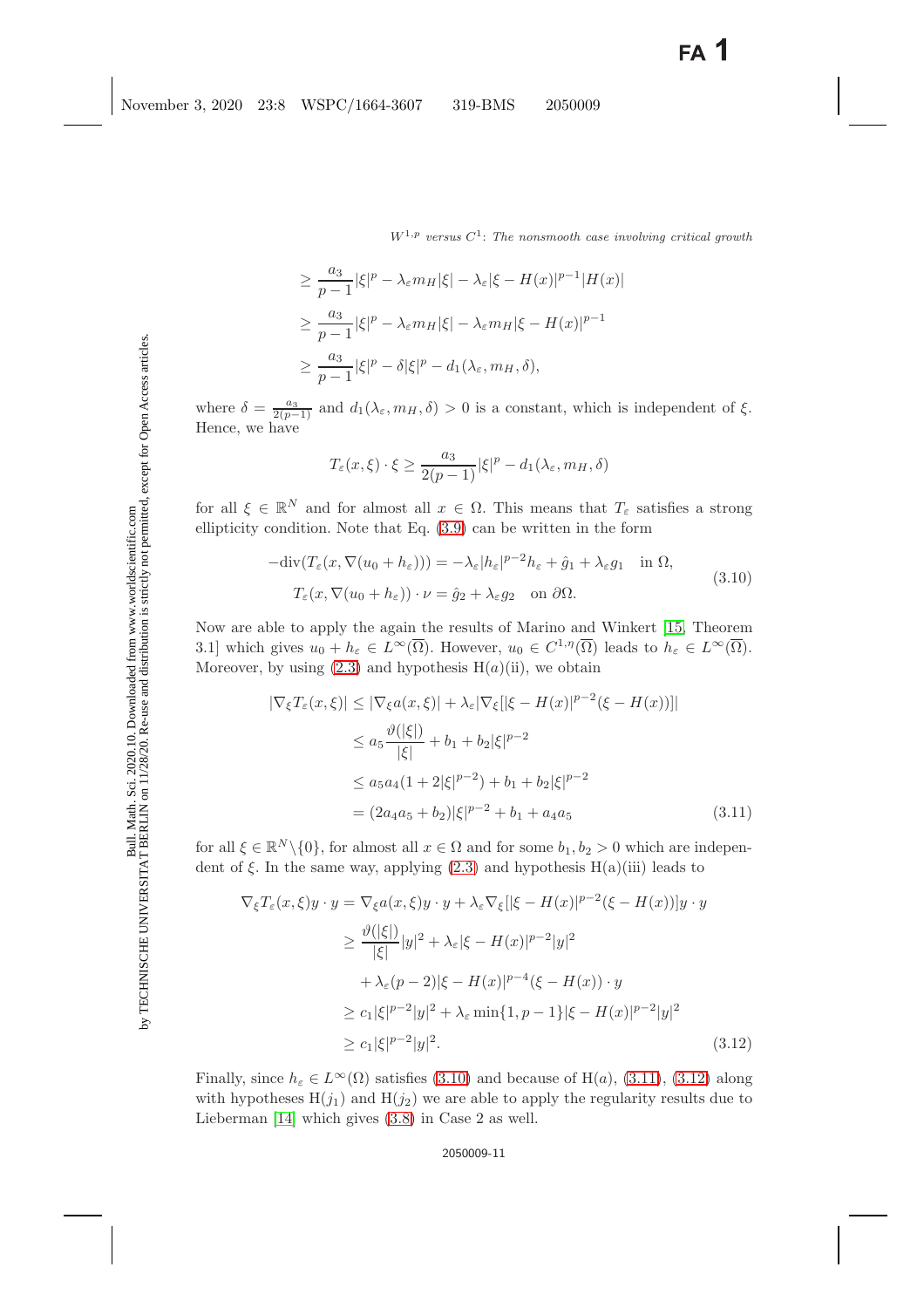$$
\geq \frac{a_3}{p-1} |\xi|^p - \lambda_{\varepsilon} m_H |\xi| - \lambda_{\varepsilon} |\xi - H(x)|^{p-1} |H(x)|
$$
  
\n
$$
\geq \frac{a_3}{p-1} |\xi|^p - \lambda_{\varepsilon} m_H |\xi| - \lambda_{\varepsilon} m_H |\xi - H(x)|^{p-1}
$$
  
\n
$$
\geq \frac{a_3}{p-1} |\xi|^p - \delta |\xi|^p - d_1(\lambda_{\varepsilon}, m_H, \delta),
$$

where  $\delta = \frac{a_3}{2(p-1)}$  and  $d_1(\lambda_{\varepsilon}, m_H, \delta) > 0$  is a constant, which is independent of  $\xi$ . Hence, we have

$$
T_{\varepsilon}(x,\xi)\cdot\xi\geq \frac{a_3}{2(p-1)}|\xi|^p-d_1(\lambda_{\varepsilon},m_H,\delta)
$$

for all  $\xi \in \mathbb{R}^N$  and for almost all  $x \in \Omega$ . This means that  $T_{\varepsilon}$  satisfies a strong ellipticity condition. Note that Eq. [\(3.9\)](#page-9-1) can be written in the form

$$
- \operatorname{div}(T_{\varepsilon}(x, \nabla(u_0 + h_{\varepsilon}))) = -\lambda_{\varepsilon} |h_{\varepsilon}|^{p-2} h_{\varepsilon} + \hat{g}_1 + \lambda_{\varepsilon} g_1 \quad \text{in } \Omega,
$$
  

$$
T_{\varepsilon}(x, \nabla(u_0 + h_{\varepsilon})) \cdot \nu = \hat{g}_2 + \lambda_{\varepsilon} g_2 \quad \text{on } \partial \Omega.
$$
 (3.10)

<span id="page-10-1"></span><span id="page-10-0"></span>Now are able to apply the again the results of Marino and Winkert [\[15,](#page-13-19) Theorem 3.1] which gives  $u_0 + h_{\varepsilon} \in L^{\infty}(\overline{\Omega})$ . However,  $u_0 \in C^{1,\eta}(\overline{\Omega})$  leads to  $h_{\varepsilon} \in L^{\infty}(\overline{\Omega})$ . Moreover, by using  $(2.3)$  and hypothesis  $H(a)(ii)$ , we obtain

$$
|\nabla_{\xi}T_{\varepsilon}(x,\xi)| \le |\nabla_{\xi}a(x,\xi)| + \lambda_{\varepsilon}|\nabla_{\xi}|[\xi - H(x)|^{p-2}(\xi - H(x))]|
$$
  
\n
$$
\le a_5 \frac{\vartheta(|\xi|)}{|\xi|} + b_1 + b_2|\xi|^{p-2}
$$
  
\n
$$
\le a_5 a_4 (1+2|\xi|^{p-2}) + b_1 + b_2|\xi|^{p-2}
$$
  
\n
$$
= (2a_4 a_5 + b_2)|\xi|^{p-2} + b_1 + a_4 a_5
$$
\n(3.11)

<span id="page-10-2"></span>for all  $\xi \in \mathbb{R}^N \setminus \{0\}$ , for almost all  $x \in \Omega$  and for some  $b_1, b_2 > 0$  which are independent of  $\xi$ . In the same way, applying [\(2.3\)](#page-4-2) and hypothesis H(a)(iii) leads to

$$
\nabla_{\xi} T_{\varepsilon}(x,\xi)y \cdot y = \nabla_{\xi} a(x,\xi)y \cdot y + \lambda_{\varepsilon} \nabla_{\xi} [|\xi - H(x)|^{p-2} (\xi - H(x))]y \cdot y
$$
  
\n
$$
\geq \frac{\vartheta(|\xi|)}{|\xi|} |y|^2 + \lambda_{\varepsilon} |\xi - H(x)|^{p-2} |y|^2
$$
  
\n
$$
+ \lambda_{\varepsilon} (p-2) |\xi - H(x)|^{p-4} (\xi - H(x)) \cdot y
$$
  
\n
$$
\geq c_1 |\xi|^{p-2} |y|^2 + \lambda_{\varepsilon} \min\{1, p-1\} |\xi - H(x)|^{p-2} |y|^2
$$
  
\n
$$
\geq c_1 |\xi|^{p-2} |y|^2. \tag{3.12}
$$

Finally, since  $h_{\varepsilon} \in L^{\infty}(\Omega)$  satisfies [\(3.10\)](#page-10-0) and because of H(a), [\(3.11\)](#page-10-1), [\(3.12\)](#page-10-2) along with hypotheses  $H(j_1)$  and  $H(j_2)$  we are able to apply the regularity results due to Lieberman [\[14\]](#page-13-16) which gives [\(3.8\)](#page-9-2) in Case 2 as well.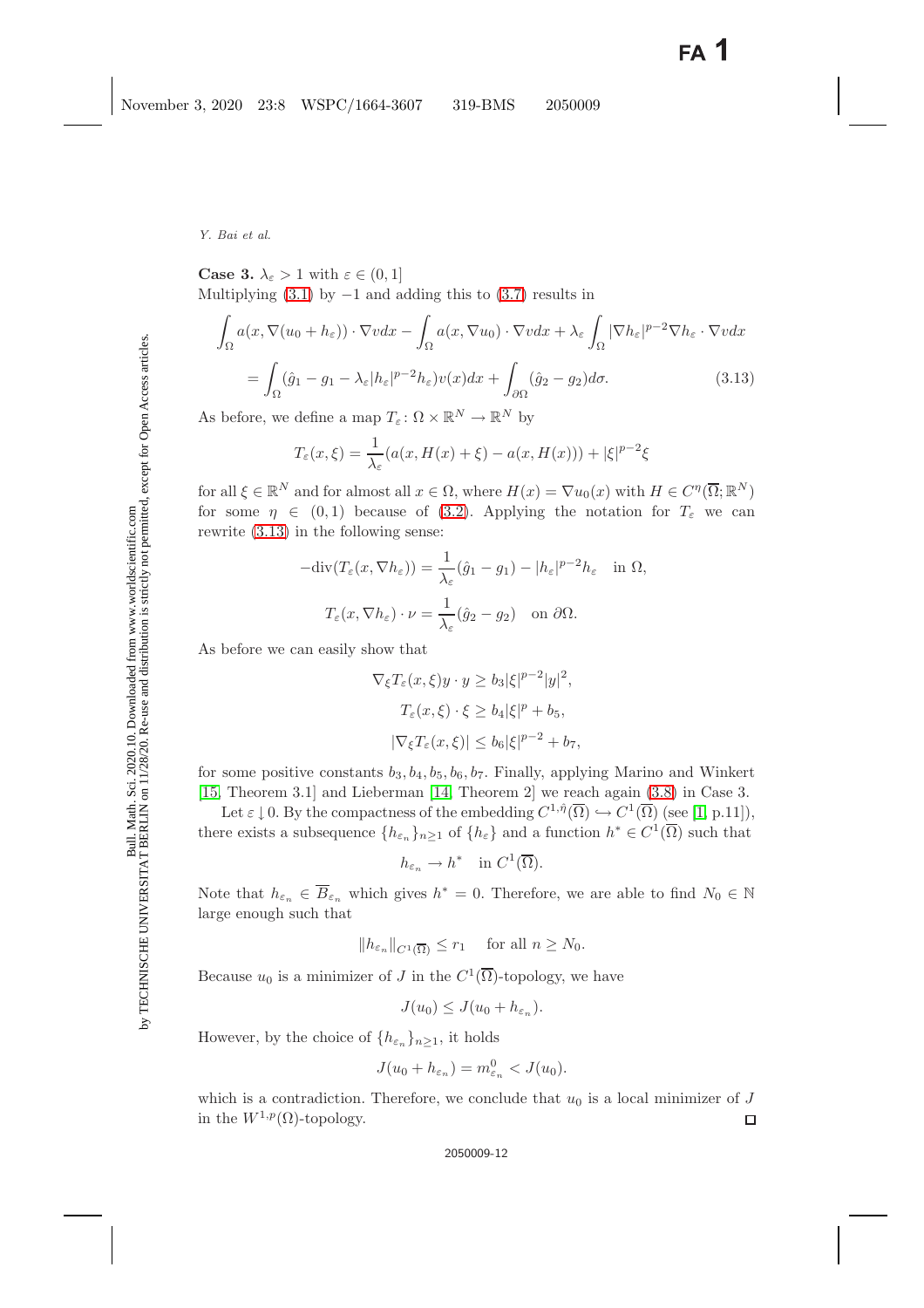<span id="page-11-0"></span>**Case 3.**  $\lambda_{\varepsilon} > 1$  with  $\varepsilon \in (0, 1]$ Multiplying  $(3.1)$  by  $-1$  and adding this to  $(3.7)$  results in

$$
\int_{\Omega} a(x, \nabla(u_0 + h_{\varepsilon})) \cdot \nabla v dx - \int_{\Omega} a(x, \nabla u_0) \cdot \nabla v dx + \lambda_{\varepsilon} \int_{\Omega} |\nabla h_{\varepsilon}|^{p-2} \nabla h_{\varepsilon} \cdot \nabla v dx \n= \int_{\Omega} (\hat{g}_1 - g_1 - \lambda_{\varepsilon} |h_{\varepsilon}|^{p-2} h_{\varepsilon}) v(x) dx + \int_{\partial \Omega} (\hat{g}_2 - g_2) d\sigma.
$$
\n(3.13)

As before, we define a map  $T_{\varepsilon} \colon \Omega \times \mathbb{R}^N \to \mathbb{R}^N$  by

$$
T_{\varepsilon}(x,\xi) = \frac{1}{\lambda_{\varepsilon}}(a(x,H(x)+\xi) - a(x,H(x))) + |\xi|^{p-2}\xi
$$

for all  $\xi \in \mathbb{R}^N$  and for almost all  $x \in \Omega$ , where  $H(x) = \nabla u_0(x)$  with  $H \in C^{\eta}(\overline{\Omega}; \mathbb{R}^N)$ for some  $\eta \in (0,1)$  because of [\(3.2\)](#page-8-4). Applying the notation for  $T_{\varepsilon}$  we can rewrite [\(3.13\)](#page-11-0) in the following sense:

$$
-\text{div}(T_{\varepsilon}(x,\nabla h_{\varepsilon})) = \frac{1}{\lambda_{\varepsilon}}(\hat{g}_1 - g_1) - |h_{\varepsilon}|^{p-2}h_{\varepsilon} \quad \text{in } \Omega,
$$

$$
T_{\varepsilon}(x,\nabla h_{\varepsilon}) \cdot \nu = \frac{1}{\lambda_{\varepsilon}}(\hat{g}_2 - g_2) \quad \text{on } \partial\Omega.
$$

As before we can easily show that

$$
\nabla_{\xi} T_{\varepsilon}(x,\xi) y \cdot y \ge b_3 |\xi|^{p-2} |y|^2,
$$
  
\n
$$
T_{\varepsilon}(x,\xi) \cdot \xi \ge b_4 |\xi|^p + b_5,
$$
  
\n
$$
|\nabla_{\xi} T_{\varepsilon}(x,\xi)| \le b_6 |\xi|^{p-2} + b_7,
$$

for some positive constants  $b_3$ ,  $b_4$ ,  $b_5$ ,  $b_6$ ,  $b_7$ . Finally, applying Marino and Winkert [\[15,](#page-13-19) Theorem 3.1] and Lieberman [\[14,](#page-13-16) Theorem 2] we reach again [\(3.8\)](#page-9-2) in Case 3.

Let  $\varepsilon \downarrow 0$ . By the compactness of the embedding  $C^{1,\hat{\eta}}(\overline{\Omega}) \hookrightarrow C^1(\overline{\Omega})$  (see [\[1,](#page-13-15) p.11]), there exists a subsequence  $\{h_{\varepsilon_n}\}_{n>1}$  of  $\{h_{\varepsilon}\}\$  and a function  $h^* \in C^1(\overline{\Omega})$  such that

$$
h_{\varepsilon_n} \to h^* \quad \text{in } C^1(\overline{\Omega}).
$$

Note that  $h_{\varepsilon_n} \in \overline{B}_{\varepsilon_n}$  which gives  $h^* = 0$ . Therefore, we are able to find  $N_0 \in \mathbb{N}$ large enough such that

$$
||h_{\varepsilon_n}||_{C^1(\overline{\Omega})} \le r_1 \quad \text{ for all } n \ge N_0.
$$

Because  $u_0$  is a minimizer of J in the  $C^1(\overline{\Omega})$ -topology, we have

$$
J(u_0) \leq J(u_0 + h_{\varepsilon_n}).
$$

However, by the choice of  ${h_{\varepsilon_n}}_{n>1}$ , it holds

$$
J(u_0 + h_{\varepsilon_n}) = m_{\varepsilon_n}^0 < J(u_0).
$$

which is a contradiction. Therefore, we conclude that  $u_0$  is a local minimizer of J in the  $W^{1,p}(\Omega)$ -topology.  $\Box$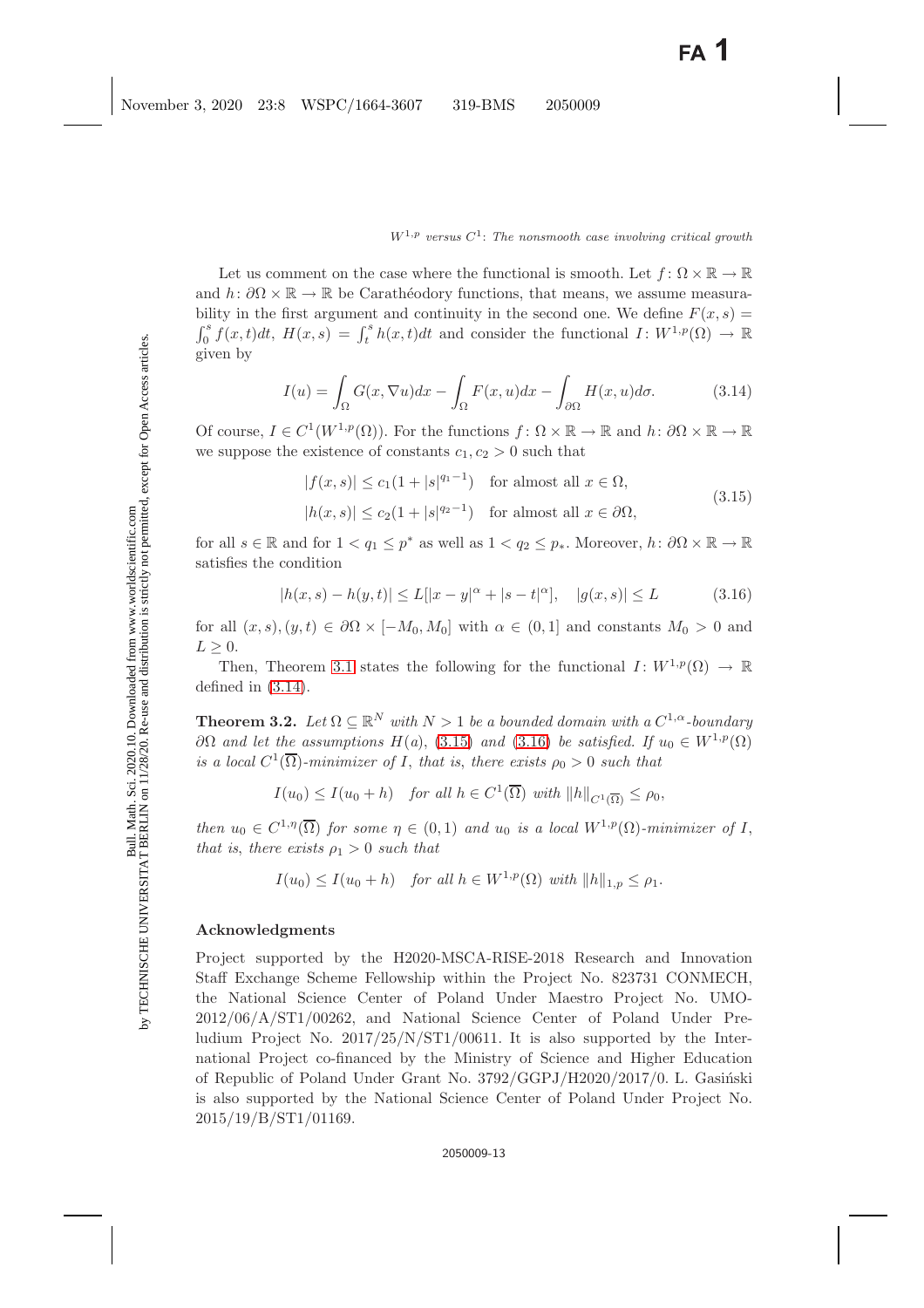Let us comment on the case where the functional is smooth. Let  $f: \Omega \times \mathbb{R} \to \mathbb{R}$ and  $h: \partial\Omega \times \mathbb{R} \to \mathbb{R}$  be Carathéodory functions, that means, we assume measurability in the first argument and continuity in the second one. We define  $F(x, s) =$  $\int_0^s f(x,t)dt$ ,  $H(x,s) = \int_t^s h(x,t)dt$  and consider the functional  $I: W^{1,p}(\Omega) \to \mathbb{R}$ given by

$$
I(u) = \int_{\Omega} G(x, \nabla u) dx - \int_{\Omega} F(x, u) dx - \int_{\partial \Omega} H(x, u) d\sigma.
$$
 (3.14)

<span id="page-12-0"></span>Of course,  $I \in C^1(W^{1,p}(\Omega))$ . For the functions  $f: \Omega \times \mathbb{R} \to \mathbb{R}$  and  $h: \partial \Omega \times \mathbb{R} \to \mathbb{R}$ we suppose the existence of constants  $c_1, c_2 > 0$  such that

$$
|f(x,s)| \le c_1(1+|s|^{q_1-1}) \quad \text{for almost all } x \in \Omega,
$$
  

$$
|h(x,s)| \le c_2(1+|s|^{q_2-1}) \quad \text{for almost all } x \in \partial\Omega,
$$
 (3.15)

<span id="page-12-1"></span>for all  $s \in \mathbb{R}$  and for  $1 < q_1 < p^*$  as well as  $1 < q_2 < p_*$ . Moreover,  $h: \partial\Omega \times \mathbb{R} \to \mathbb{R}$ satisfies the condition

$$
|h(x,s) - h(y,t)| \le L[|x - y|^{\alpha} + |s - t|^{\alpha}], \quad |g(x,s)| \le L \tag{3.16}
$$

<span id="page-12-2"></span>for all  $(x, s), (y, t) \in \partial\Omega \times [-M_0, M_0]$  with  $\alpha \in (0, 1]$  and constants  $M_0 > 0$  and  $L > 0$ .

Then, Theorem [3.1](#page-7-1) states the following for the functional  $I: W^{1,p}(\Omega) \to \mathbb{R}$ defined in [\(3.14\)](#page-12-0).

**Theorem 3.2.** *Let*  $\Omega \subseteq \mathbb{R}^N$  *with*  $N > 1$  *be a bounded domain with a*  $C^{1,\alpha}$ *-boundary* ∂Ω *and let the assumptions*  $H(a)$ , [\(3.15\)](#page-12-1) *and* [\(3.16\)](#page-12-2) *be satisfied. If*  $u_0 \n∈ W^{1,p}(\Omega)$ *is a local*  $C^1(\overline{\Omega})$ -minimizer of I, that is, there exists  $\rho_0 > 0$  *such that* 

$$
I(u_0) \leq I(u_0 + h)
$$
 for all  $h \in C^1(\overline{\Omega})$  with  $||h||_{C^1(\overline{\Omega})} \leq \rho_0$ ,

*then*  $u_0 \in C^{1,\eta}(\overline{\Omega})$  *for some*  $\eta \in (0,1)$  *and*  $u_0$  *is a local*  $W^{1,p}(\Omega)$ *-minimizer of* I, *that is, there exists*  $\rho_1 > 0$  *such that* 

$$
I(u_0) \le I(u_0 + h) \quad \text{for all } h \in W^{1,p}(\Omega) \text{ with } ||h||_{1,p} \le \rho_1.
$$

### **Acknowledgments**

Project supported by the H2020-MSCA-RISE-2018 Research and Innovation Staff Exchange Scheme Fellowship within the Project No. 823731 CONMECH, the National Science Center of Poland Under Maestro Project No. UMO-2012/06/A/ST1/00262, and National Science Center of Poland Under Preludium Project No. 2017/25/N/ST1/00611. It is also supported by the International Project co-financed by the Ministry of Science and Higher Education of Republic of Poland Under Grant No. 3792/GGPJ/H2020/2017/0. L. Gasiński is also supported by the National Science Center of Poland Under Project No. 2015/19/B/ST1/01169.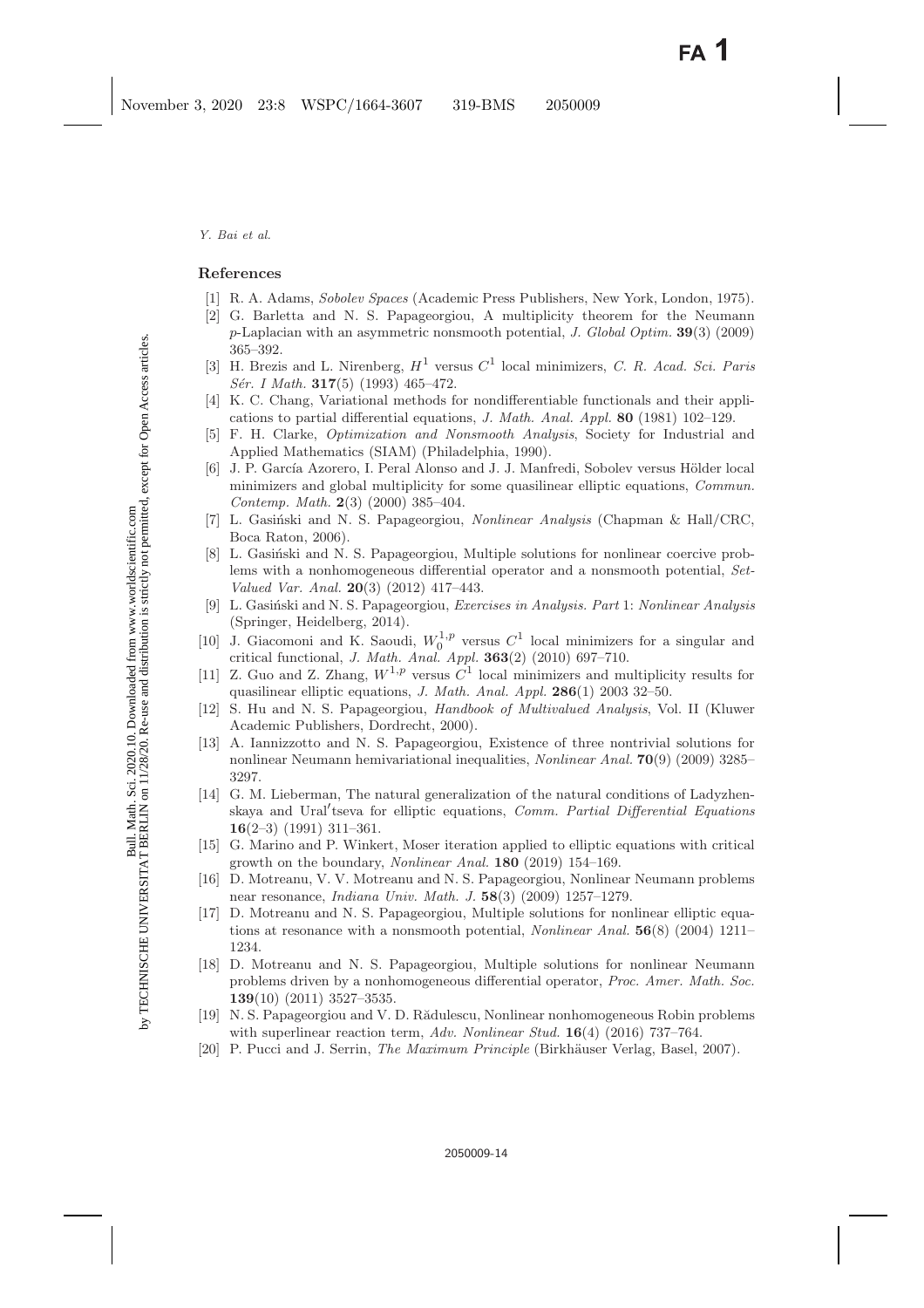### <span id="page-13-15"></span><span id="page-13-6"></span><span id="page-13-0"></span>**References**

- [1] R. A. Adams, Sobolev Spaces (Academic Press Publishers, New York, London, 1975).
- [2] G. Barletta and N. S. Papageorgiou, A multiplicity theorem for the Neumann *p*-Laplacian with an asymmetric nonsmooth potential, J. Global Optim. **39**(3) (2009) 365–392.
- <span id="page-13-1"></span>[3] H. Brezis and L. Nirenberg,  $H^1$  versus  $C^1$  local minimizers, C. R. Acad. Sci. Paris Sér. I Math. **317**(5) (1993) 465–472.
- <span id="page-13-13"></span>[4] K. C. Chang, Variational methods for nondifferentiable functionals and their applications to partial differential equations, J. Math. Anal. Appl. **80** (1981) 102–129.
- <span id="page-13-12"></span><span id="page-13-2"></span>[5] F. H. Clarke, Optimization and Nonsmooth Analysis, Society for Industrial and Applied Mathematics (SIAM) (Philadelphia, 1990).
- [6] J. P. García Azorero, I. Peral Alonso and J. J. Manfredi, Sobolev versus Hölder local minimizers and global multiplicity for some quasilinear elliptic equations, Commun. Contemp. Math. **2**(3) (2000) 385–404.
- <span id="page-13-20"></span><span id="page-13-10"></span>[7] L. Gasiński and N. S. Papageorgiou, Nonlinear Analysis (Chapman & Hall/CRC, Boca Raton, 2006).
- [8] L. Gasiński and N. S. Papageorgiou, Multiple solutions for nonlinear coercive problems with a nonhomogeneous differential operator and a nonsmooth potential, Set-Valued Var. Anal. **20**(3) (2012) 417–443.
- <span id="page-13-14"></span>[9] L. Gasiński and N. S. Papageorgiou, Exercises in Analysis. Part 1: Nonlinear Analysis (Springer, Heidelberg, 2014).
- <span id="page-13-8"></span>[10] J. Giacomoni and K. Saoudi,  $W_0^{1,p}$  versus  $C^1$  local minimizers for a singular and critical functional, J. Math. Anal. Appl. **363**(2) (2010) 697–710.
- <span id="page-13-3"></span>[11] Z. Guo and Z. Zhang,  $W^{1,p}$  versus  $C^1$  local minimizers and multiplicity results for quasilinear elliptic equations, J. Math. Anal. Appl. **286**(1) 2003 32–50.
- <span id="page-13-18"></span>[12] S. Hu and N. S. Papageorgiou, Handbook of Multivalued Analysis, Vol. II (Kluwer Academic Publishers, Dordrecht, 2000).
- <span id="page-13-7"></span>[13] A. Iannizzotto and N. S. Papageorgiou, Existence of three nontrivial solutions for nonlinear Neumann hemivariational inequalities, Nonlinear Anal. **70**(9) (2009) 3285– 3297.
- <span id="page-13-16"></span>[14] G. M. Lieberman, The natural generalization of the natural conditions of Ladyzhenskaya and Ural'tseva for elliptic equations, Comm. Partial Differential Equations **16**(2–3) (1991) 311–361.
- <span id="page-13-19"></span><span id="page-13-5"></span>[15] G. Marino and P. Winkert, Moser iteration applied to elliptic equations with critical growth on the boundary, Nonlinear Anal. **180** (2019) 154–169.
- [16] D. Motreanu, V. V. Motreanu and N. S. Papageorgiou, Nonlinear Neumann problems near resonance, Indiana Univ. Math. J. **58**(3) (2009) 1257–1279.
- <span id="page-13-4"></span>[17] D. Motreanu and N. S. Papageorgiou, Multiple solutions for nonlinear elliptic equations at resonance with a nonsmooth potential, Nonlinear Anal. **56**(8) (2004) 1211– 1234.
- <span id="page-13-9"></span>[18] D. Motreanu and N. S. Papageorgiou, Multiple solutions for nonlinear Neumann problems driven by a nonhomogeneous differential operator, Proc. Amer. Math. Soc. **139**(10) (2011) 3527–3535.
- <span id="page-13-11"></span>[19] N. S. Papageorgiou and V. D. Rădulescu, Nonlinear nonhomogeneous Robin problems with superlinear reaction term, Adv. Nonlinear Stud. **16**(4) (2016) 737–764.
- <span id="page-13-17"></span>[20] P. Pucci and J. Serrin, *The Maximum Principle* (Birkhäuser Verlag, Basel, 2007).